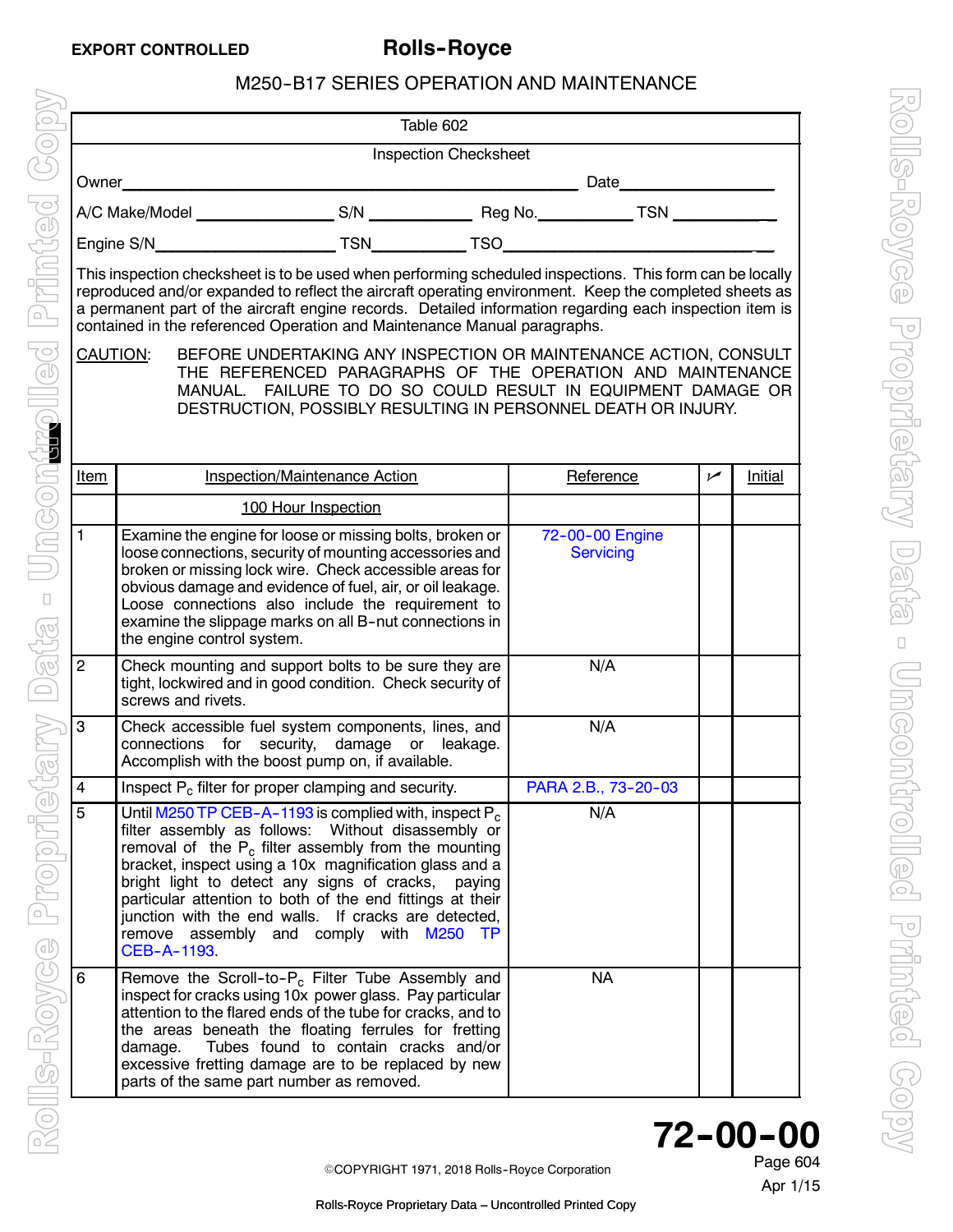<span id="page-0-0"></span>

| Table 602                                                                                                                                                                                                                                                                          |                                                                                                                                                                                                                                                                                                                                                                                                                                                                                      |                              |                |         |
|------------------------------------------------------------------------------------------------------------------------------------------------------------------------------------------------------------------------------------------------------------------------------------|--------------------------------------------------------------------------------------------------------------------------------------------------------------------------------------------------------------------------------------------------------------------------------------------------------------------------------------------------------------------------------------------------------------------------------------------------------------------------------------|------------------------------|----------------|---------|
|                                                                                                                                                                                                                                                                                    | <b>Inspection Checksheet</b>                                                                                                                                                                                                                                                                                                                                                                                                                                                         |                              |                |         |
|                                                                                                                                                                                                                                                                                    | Owner <b>Date Contract Contract Contract Contract Contract Contract Contract Contract Contract Contract Contract Contract Contract Contract Contract Contract Contract Contract Contract Contract Contract Contract Contract C</b>                                                                                                                                                                                                                                                   |                              |                |         |
|                                                                                                                                                                                                                                                                                    | A/C Make/Model __________________S/N _______________ Reg No.____________TSN ______________                                                                                                                                                                                                                                                                                                                                                                                           |                              |                |         |
|                                                                                                                                                                                                                                                                                    |                                                                                                                                                                                                                                                                                                                                                                                                                                                                                      |                              |                |         |
|                                                                                                                                                                                                                                                                                    | This inspection checksheet is to be used when performing scheduled inspections. This form can be locally<br>reproduced and/or expanded to reflect the aircraft operating environment. Keep the completed sheets as<br>a permanent part of the aircraft engine records. Detailed information regarding each inspection item is<br>contained in the referenced Operation and Maintenance Manual paragraphs.                                                                            |                              |                |         |
| BEFORE UNDERTAKING ANY INSPECTION OR MAINTENANCE ACTION, CONSULT<br><b>CAUTION:</b><br>THE REFERENCED PARAGRAPHS OF THE OPERATION AND MAINTENANCE<br>MANUAL. FAILURE TO DO SO COULD RESULT IN EQUIPMENT DAMAGE OR<br>DESTRUCTION, POSSIBLY RESULTING IN PERSONNEL DEATH OR INJURY. |                                                                                                                                                                                                                                                                                                                                                                                                                                                                                      |                              |                |         |
| Item                                                                                                                                                                                                                                                                               | <b>Inspection/Maintenance Action</b>                                                                                                                                                                                                                                                                                                                                                                                                                                                 | Reference                    | $\overline{v}$ | Initial |
|                                                                                                                                                                                                                                                                                    | 100 Hour Inspection                                                                                                                                                                                                                                                                                                                                                                                                                                                                  |                              |                |         |
| $\blacksquare$                                                                                                                                                                                                                                                                     | Examine the engine for loose or missing bolts, broken or<br>loose connections, security of mounting accessories and<br>broken or missing lock wire. Check accessible areas for<br>obvious damage and evidence of fuel, air, or oil leakage.<br>Loose connections also include the requirement to<br>examine the slippage marks on all B-nut connections in<br>the engine control system.                                                                                             | 72-00-00 Engine<br>Servicing |                |         |
| $\overline{2}$                                                                                                                                                                                                                                                                     | Check mounting and support bolts to be sure they are<br>tight, lockwired and in good condition. Check security of<br>screws and rivets.                                                                                                                                                                                                                                                                                                                                              | N/A                          |                |         |
| 3                                                                                                                                                                                                                                                                                  | Check accessible fuel system components, lines, and<br>connections for security, damage or leakage.<br>Accomplish with the boost pump on, if available.                                                                                                                                                                                                                                                                                                                              | N/A                          |                |         |
| $\overline{4}$                                                                                                                                                                                                                                                                     | Inspect P <sub>c</sub> filter for proper clamping and security.                                                                                                                                                                                                                                                                                                                                                                                                                      | PARA 2.B., 73-20-03          |                |         |
| 5                                                                                                                                                                                                                                                                                  | Until M250 TP CEB-A-1193 is complied with, inspect $P_c$<br>filter assembly as follows: Without disassembly or<br>removal of the $P_c$ filter assembly from the mounting<br>bracket, inspect using a 10x magnification glass and a<br>bright light to detect any signs of cracks,<br>paying<br>particular attention to both of the end fittings at their<br>junction with the end walls. If cracks are detected,<br>remove assembly and comply with M250<br><b>TP</b><br>CEB-A-1193. | N/A                          |                |         |
| 6                                                                                                                                                                                                                                                                                  | Remove the Scroll-to-P <sub>c</sub> Filter Tube Assembly and<br>inspect for cracks using 10x power glass. Pay particular<br>attention to the flared ends of the tube for cracks, and to<br>the areas beneath the floating ferrules for fretting<br>Tubes found to contain cracks and/or<br>damage.<br>excessive fretting damage are to be replaced by new<br>parts of the same part number as removed.                                                                               | <b>NA</b>                    |                |         |

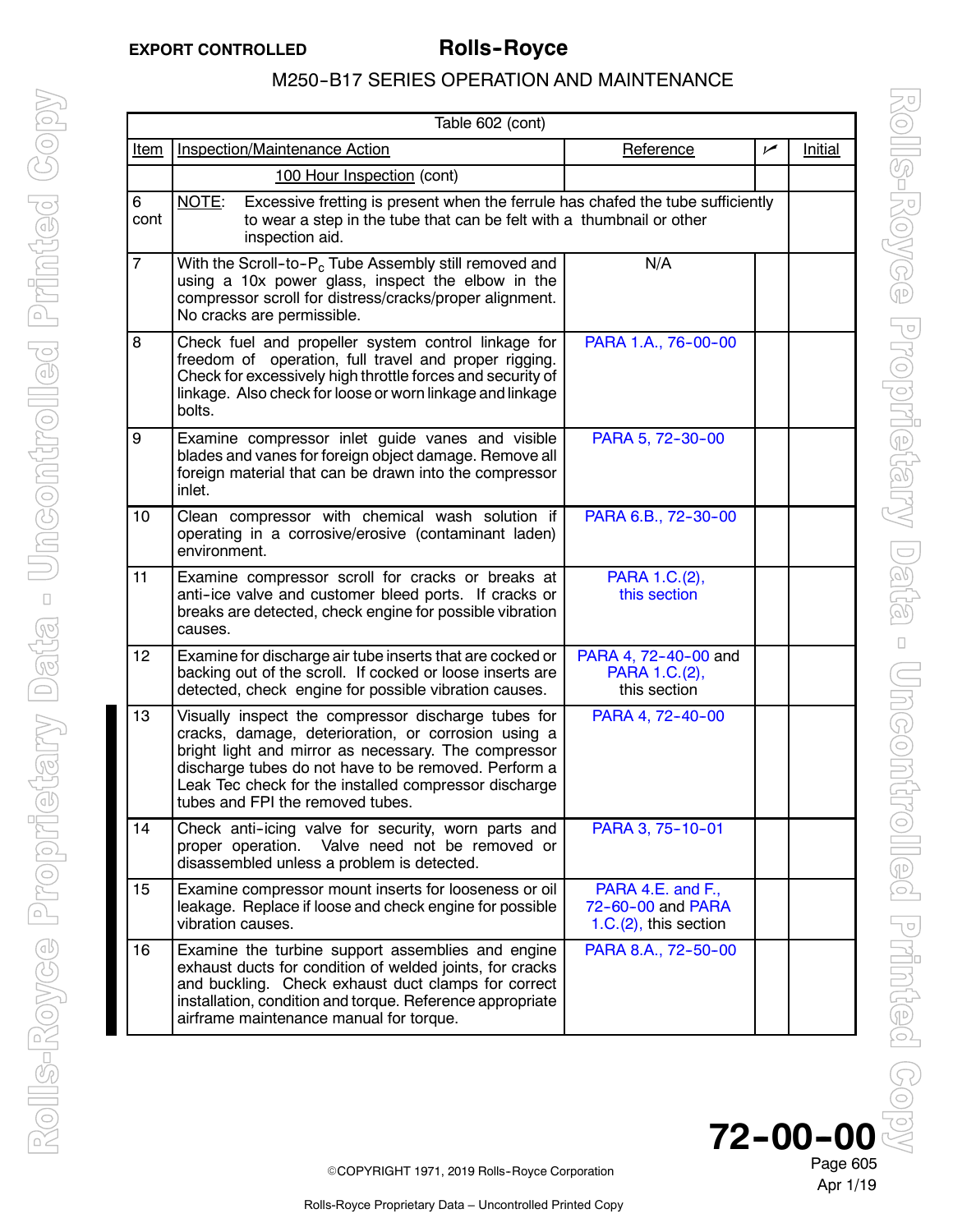<span id="page-1-0"></span>

| Table 602 (cont) |                                                                                                                                                                                                                                                                                                                         |                                                                    |    |                |
|------------------|-------------------------------------------------------------------------------------------------------------------------------------------------------------------------------------------------------------------------------------------------------------------------------------------------------------------------|--------------------------------------------------------------------|----|----------------|
| <u>Item</u>      | <b>Inspection/Maintenance Action</b>                                                                                                                                                                                                                                                                                    | Reference                                                          | مم | <b>Initial</b> |
|                  | 100 Hour Inspection (cont)                                                                                                                                                                                                                                                                                              |                                                                    |    |                |
| 6<br>cont        | NOTE:<br>Excessive fretting is present when the ferrule has chafed the tube sufficiently<br>to wear a step in the tube that can be felt with a thumbnail or other<br>inspection aid.                                                                                                                                    |                                                                    |    |                |
| $\overline{7}$   | With the Scroll-to-P <sub>c</sub> Tube Assembly still removed and<br>using a 10x power glass, inspect the elbow in the<br>compressor scroll for distress/cracks/proper alignment.<br>No cracks are permissible.                                                                                                         | N/A                                                                |    |                |
| 8                | Check fuel and propeller system control linkage for<br>freedom of operation, full travel and proper rigging.<br>Check for excessively high throttle forces and security of<br>linkage. Also check for loose or worn linkage and linkage<br>bolts.                                                                       | PARA 1.A., 76-00-00                                                |    |                |
| $\boldsymbol{9}$ | Examine compressor inlet guide vanes and visible<br>blades and vanes for foreign object damage. Remove all<br>foreign material that can be drawn into the compressor<br>inlet.                                                                                                                                          | PARA 5, 72-30-00                                                   |    |                |
| 10               | Clean compressor with chemical wash solution if<br>operating in a corrosive/erosive (contaminant laden)<br>environment.                                                                                                                                                                                                 | PARA 6.B., 72-30-00                                                |    |                |
| 11               | Examine compressor scroll for cracks or breaks at<br>anti-ice valve and customer bleed ports. If cracks or<br>breaks are detected, check engine for possible vibration<br>causes.                                                                                                                                       | PARA 1.C.(2),<br>this section                                      |    |                |
| 12               | Examine for discharge air tube inserts that are cocked or<br>backing out of the scroll. If cocked or loose inserts are<br>detected, check engine for possible vibration causes.                                                                                                                                         | PARA 4, 72-40-00 and<br>PARA 1.C.(2),<br>this section              |    |                |
| 13               | Visually inspect the compressor discharge tubes for<br>cracks, damage, deterioration, or corrosion using a<br>bright light and mirror as necessary. The compressor<br>discharge tubes do not have to be removed. Perform a<br>Leak Tec check for the installed compressor discharge<br>tubes and FPI the removed tubes. | PARA 4, 72-40-00                                                   |    |                |
| 14               | Check anti-icing valve for security, worn parts and<br>Valve need not be removed or<br>proper operation.<br>disassembled unless a problem is detected.                                                                                                                                                                  | PARA 3, 75-10-01                                                   |    |                |
| 15               | Examine compressor mount inserts for looseness or oil<br>leakage. Replace if loose and check engine for possible<br>vibration causes.                                                                                                                                                                                   | PARA 4.E. and F.,<br>72-60-00 and PARA<br>$1.C.(2)$ , this section |    |                |
| 16               | Examine the turbine support assemblies and engine<br>exhaust ducts for condition of welded joints, for cracks<br>and buckling. Check exhaust duct clamps for correct<br>installation, condition and torque. Reference appropriate<br>airframe maintenance manual for torque.                                            | PARA 8.A., 72-50-00                                                |    |                |

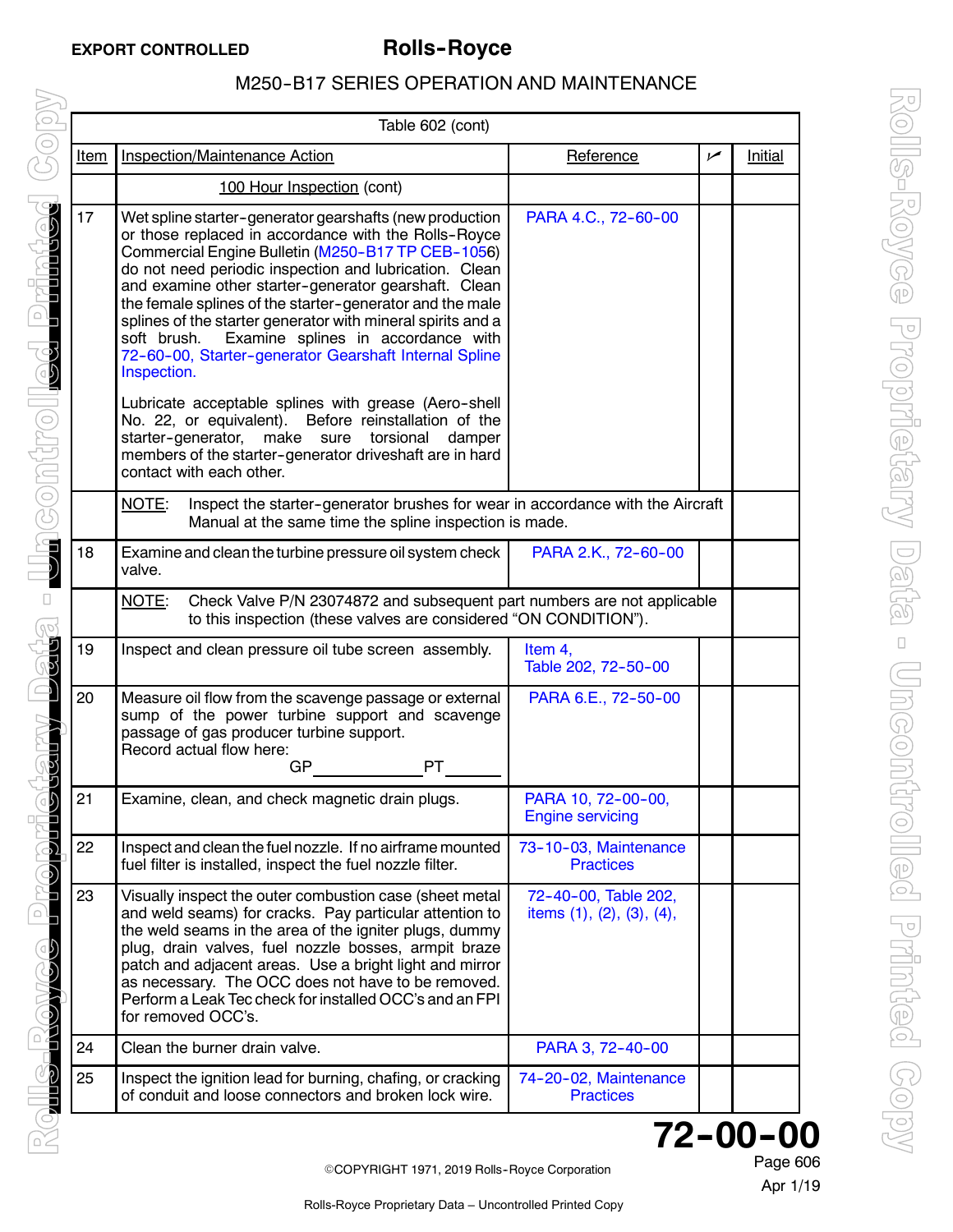<span id="page-2-0"></span>

| Table 602 (cont) |                                                                                                                                                                                                                                                                                                                                                                                                                                                                                                                                                                                                                                                                |                                                               |     |                |
|------------------|----------------------------------------------------------------------------------------------------------------------------------------------------------------------------------------------------------------------------------------------------------------------------------------------------------------------------------------------------------------------------------------------------------------------------------------------------------------------------------------------------------------------------------------------------------------------------------------------------------------------------------------------------------------|---------------------------------------------------------------|-----|----------------|
| <b>Item</b>      | Inspection/Maintenance Action                                                                                                                                                                                                                                                                                                                                                                                                                                                                                                                                                                                                                                  | Reference                                                     | سما | <b>Initial</b> |
|                  | 100 Hour Inspection (cont)                                                                                                                                                                                                                                                                                                                                                                                                                                                                                                                                                                                                                                     |                                                               |     |                |
| 17               | Wet spline starter-generator gearshafts (new production<br>or those replaced in accordance with the Rolls-Royce<br>Commercial Engine Bulletin (M250-B17 TP CEB-1056)<br>do not need periodic inspection and lubrication. Clean<br>and examine other starter-generator gearshaft. Clean<br>the female splines of the starter-generator and the male<br>splines of the starter generator with mineral spirits and a<br>Examine splines in accordance with<br>soft brush.<br>72-60-00, Starter-generator Gearshaft Internal Spline<br>Inspection.<br>Lubricate acceptable splines with grease (Aero-shell<br>No. 22, or equivalent). Before reinstallation of the | PARA 4.C., 72-60-00                                           |     |                |
|                  | starter-generator, make sure<br>torsional<br>damper<br>members of the starter-generator driveshaft are in hard<br>contact with each other.                                                                                                                                                                                                                                                                                                                                                                                                                                                                                                                     |                                                               |     |                |
|                  | Inspect the starter-generator brushes for wear in accordance with the Aircraft<br>NOTE:<br>Manual at the same time the spline inspection is made.                                                                                                                                                                                                                                                                                                                                                                                                                                                                                                              |                                                               |     |                |
| 18               | Examine and clean the turbine pressure oil system check<br>valve.                                                                                                                                                                                                                                                                                                                                                                                                                                                                                                                                                                                              | PARA 2.K., 72-60-00                                           |     |                |
|                  | NOTE:<br>Check Valve P/N 23074872 and subsequent part numbers are not applicable<br>to this inspection (these valves are considered "ON CONDITION").                                                                                                                                                                                                                                                                                                                                                                                                                                                                                                           |                                                               |     |                |
| 19               | Inspect and clean pressure oil tube screen assembly.                                                                                                                                                                                                                                                                                                                                                                                                                                                                                                                                                                                                           | Item 4,<br>Table 202, 72-50-00                                |     |                |
| 20               | Measure oil flow from the scavenge passage or external<br>sump of the power turbine support and scavenge<br>passage of gas producer turbine support.<br>Record actual flow here:<br>PT.<br>GP                                                                                                                                                                                                                                                                                                                                                                                                                                                                  | PARA 6.E., 72-50-00                                           |     |                |
| 21               | Examine, clean, and check magnetic drain plugs.                                                                                                                                                                                                                                                                                                                                                                                                                                                                                                                                                                                                                | PARA 10, 72-00-00,<br><b>Engine servicing</b>                 |     |                |
| 22               | Inspect and clean the fuel nozzle. If no airframe mounted<br>fuel filter is installed, inspect the fuel nozzle filter.                                                                                                                                                                                                                                                                                                                                                                                                                                                                                                                                         | 73-10-03, Maintenance<br><b>Practices</b>                     |     |                |
| 23               | Visually inspect the outer combustion case (sheet metal<br>and weld seams) for cracks. Pay particular attention to<br>the weld seams in the area of the igniter plugs, dummy<br>plug, drain valves, fuel nozzle bosses, armpit braze<br>patch and adjacent areas. Use a bright light and mirror<br>as necessary. The OCC does not have to be removed.<br>Perform a Leak Tec check for installed OCC's and an FPI<br>for removed OCC's.                                                                                                                                                                                                                         | 72-40-00, Table 202,<br>items $(1)$ , $(2)$ , $(3)$ , $(4)$ , |     |                |
| 24               | Clean the burner drain valve.                                                                                                                                                                                                                                                                                                                                                                                                                                                                                                                                                                                                                                  | PARA 3, 72-40-00                                              |     |                |
| 25               | Inspect the ignition lead for burning, chafing, or cracking<br>of conduit and loose connectors and broken lock wire.                                                                                                                                                                                                                                                                                                                                                                                                                                                                                                                                           | 74-20-02, Maintenance<br><b>Practices</b>                     |     |                |

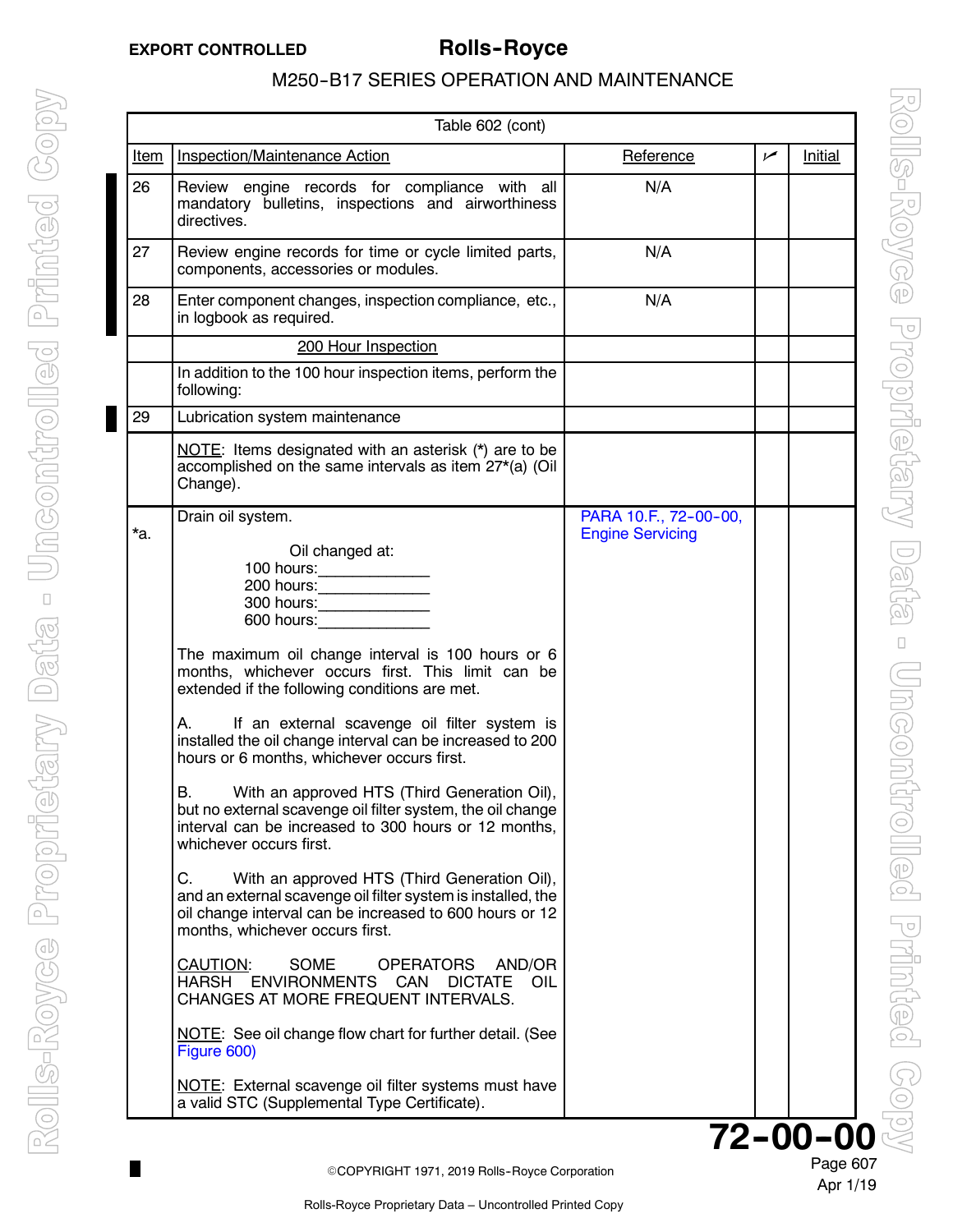<span id="page-3-0"></span>

|      | Table 602 (cont)                                                                                                                                                                                                                                                                                                                                                                                                                                                                                                                                                                                                                                                                                                                                                                                                                                                                                                                                                                                                                                                                                                                                                                                       |                                                  |     |                |
|------|--------------------------------------------------------------------------------------------------------------------------------------------------------------------------------------------------------------------------------------------------------------------------------------------------------------------------------------------------------------------------------------------------------------------------------------------------------------------------------------------------------------------------------------------------------------------------------------------------------------------------------------------------------------------------------------------------------------------------------------------------------------------------------------------------------------------------------------------------------------------------------------------------------------------------------------------------------------------------------------------------------------------------------------------------------------------------------------------------------------------------------------------------------------------------------------------------------|--------------------------------------------------|-----|----------------|
| Item | <b>Inspection/Maintenance Action</b>                                                                                                                                                                                                                                                                                                                                                                                                                                                                                                                                                                                                                                                                                                                                                                                                                                                                                                                                                                                                                                                                                                                                                                   | Reference                                        | سما | <b>Initial</b> |
| 26   | Review engine records for compliance with all<br>mandatory bulletins, inspections and airworthiness<br>directives.                                                                                                                                                                                                                                                                                                                                                                                                                                                                                                                                                                                                                                                                                                                                                                                                                                                                                                                                                                                                                                                                                     | N/A                                              |     |                |
| 27   | Review engine records for time or cycle limited parts,<br>components, accessories or modules.                                                                                                                                                                                                                                                                                                                                                                                                                                                                                                                                                                                                                                                                                                                                                                                                                                                                                                                                                                                                                                                                                                          | N/A                                              |     |                |
| 28   | Enter component changes, inspection compliance, etc.,<br>in logbook as required.                                                                                                                                                                                                                                                                                                                                                                                                                                                                                                                                                                                                                                                                                                                                                                                                                                                                                                                                                                                                                                                                                                                       | N/A                                              |     |                |
|      | 200 Hour Inspection                                                                                                                                                                                                                                                                                                                                                                                                                                                                                                                                                                                                                                                                                                                                                                                                                                                                                                                                                                                                                                                                                                                                                                                    |                                                  |     |                |
|      | In addition to the 100 hour inspection items, perform the<br>following:                                                                                                                                                                                                                                                                                                                                                                                                                                                                                                                                                                                                                                                                                                                                                                                                                                                                                                                                                                                                                                                                                                                                |                                                  |     |                |
| 29   | Lubrication system maintenance                                                                                                                                                                                                                                                                                                                                                                                                                                                                                                                                                                                                                                                                                                                                                                                                                                                                                                                                                                                                                                                                                                                                                                         |                                                  |     |                |
|      | NOTE: Items designated with an asterisk (*) are to be<br>accomplished on the same intervals as item 27*(a) (Oil<br>Change).                                                                                                                                                                                                                                                                                                                                                                                                                                                                                                                                                                                                                                                                                                                                                                                                                                                                                                                                                                                                                                                                            |                                                  |     |                |
| *a.  | Drain oil system.<br>Oil changed at:<br>100 hours:<br>200 hours:<br>300 hours:<br>600 hours:<br>The maximum oil change interval is 100 hours or 6<br>months, whichever occurs first. This limit can be<br>extended if the following conditions are met.<br>If an external scavenge oil filter system is<br>А.<br>installed the oil change interval can be increased to 200<br>hours or 6 months, whichever occurs first.<br>В.<br>With an approved HTS (Third Generation Oil),<br>but no external scavenge oil filter system, the oil change<br>interval can be increased to 300 hours or 12 months,<br>whichever occurs first.<br>With an approved HTS (Third Generation Oil),<br>C.<br>and an external scavenge oil filter system is installed, the<br>oil change interval can be increased to 600 hours or 12<br>months, whichever occurs first.<br>CAUTION:<br>SOME<br>AND/OR<br><b>OPERATORS</b><br><b>ENVIRONMENTS</b><br>HARSH<br><b>CAN</b><br><b>DICTATE</b><br>OIL<br>CHANGES AT MORE FREQUENT INTERVALS.<br>NOTE: See oil change flow chart for further detail. (See<br>Figure 600)<br>NOTE: External scavenge oil filter systems must have<br>a valid STC (Supplemental Type Certificate). | PARA 10.F., 72-00-00,<br><b>Engine Servicing</b> |     |                |
|      |                                                                                                                                                                                                                                                                                                                                                                                                                                                                                                                                                                                                                                                                                                                                                                                                                                                                                                                                                                                                                                                                                                                                                                                                        | $72 - 00 - 0$                                    |     |                |

Page 607 Apr 1/19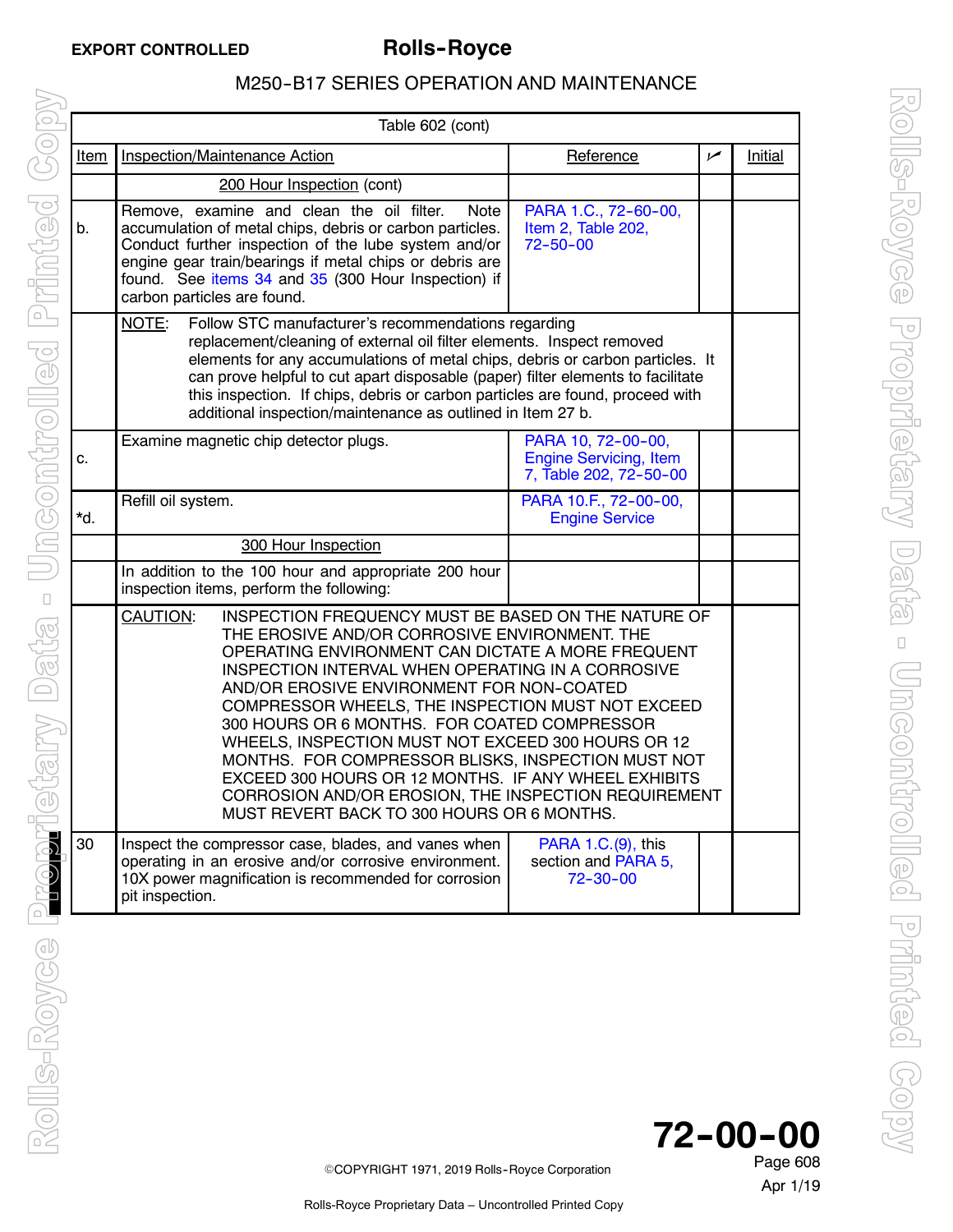| Table 602 (cont)                                                                                                                                                                                                                                                                                                                                                                                                                                          |                                                                                                                                                                                                                                                                                                                                                                                                                                                                                                                                                                                                                                                               |                                                                               |                |         |
|-----------------------------------------------------------------------------------------------------------------------------------------------------------------------------------------------------------------------------------------------------------------------------------------------------------------------------------------------------------------------------------------------------------------------------------------------------------|---------------------------------------------------------------------------------------------------------------------------------------------------------------------------------------------------------------------------------------------------------------------------------------------------------------------------------------------------------------------------------------------------------------------------------------------------------------------------------------------------------------------------------------------------------------------------------------------------------------------------------------------------------------|-------------------------------------------------------------------------------|----------------|---------|
| Item                                                                                                                                                                                                                                                                                                                                                                                                                                                      | Inspection/Maintenance Action                                                                                                                                                                                                                                                                                                                                                                                                                                                                                                                                                                                                                                 | Reference                                                                     | $\overline{v}$ | Initial |
|                                                                                                                                                                                                                                                                                                                                                                                                                                                           | 200 Hour Inspection (cont)                                                                                                                                                                                                                                                                                                                                                                                                                                                                                                                                                                                                                                    |                                                                               |                |         |
| b.                                                                                                                                                                                                                                                                                                                                                                                                                                                        | Remove, examine and clean the oil filter.<br>Note<br>accumulation of metal chips, debris or carbon particles.<br>Conduct further inspection of the lube system and/or<br>engine gear train/bearings if metal chips or debris are<br>found. See items 34 and 35 (300 Hour Inspection) if<br>carbon particles are found.                                                                                                                                                                                                                                                                                                                                        | PARA 1.C., 72-60-00,<br>Item 2, Table 202,<br>$72 - 50 - 00$                  |                |         |
| NOTE:<br>Follow STC manufacturer's recommendations regarding<br>replacement/cleaning of external oil filter elements. Inspect removed<br>elements for any accumulations of metal chips, debris or carbon particles. It<br>can prove helpful to cut apart disposable (paper) filter elements to facilitate<br>this inspection. If chips, debris or carbon particles are found, proceed with<br>additional inspection/maintenance as outlined in Item 27 b. |                                                                                                                                                                                                                                                                                                                                                                                                                                                                                                                                                                                                                                                               |                                                                               |                |         |
| c.                                                                                                                                                                                                                                                                                                                                                                                                                                                        | Examine magnetic chip detector plugs.                                                                                                                                                                                                                                                                                                                                                                                                                                                                                                                                                                                                                         | PARA 10, 72-00-00,<br><b>Engine Servicing, Item</b><br>7, Table 202, 72-50-00 |                |         |
| *d.                                                                                                                                                                                                                                                                                                                                                                                                                                                       | Refill oil system.                                                                                                                                                                                                                                                                                                                                                                                                                                                                                                                                                                                                                                            | PARA 10.F., 72-00-00,<br><b>Engine Service</b>                                |                |         |
|                                                                                                                                                                                                                                                                                                                                                                                                                                                           | 300 Hour Inspection                                                                                                                                                                                                                                                                                                                                                                                                                                                                                                                                                                                                                                           |                                                                               |                |         |
|                                                                                                                                                                                                                                                                                                                                                                                                                                                           | In addition to the 100 hour and appropriate 200 hour<br>inspection items, perform the following:                                                                                                                                                                                                                                                                                                                                                                                                                                                                                                                                                              |                                                                               |                |         |
|                                                                                                                                                                                                                                                                                                                                                                                                                                                           | INSPECTION FREQUENCY MUST BE BASED ON THE NATURE OF<br><b>CAUTION:</b><br>THE EROSIVE AND/OR CORROSIVE ENVIRONMENT. THE<br>OPERATING ENVIRONMENT CAN DICTATE A MORE FREQUENT<br>INSPECTION INTERVAL WHEN OPERATING IN A CORROSIVE<br>AND/OR EROSIVE ENVIRONMENT FOR NON-COATED<br>COMPRESSOR WHEELS, THE INSPECTION MUST NOT EXCEED<br>300 HOURS OR 6 MONTHS. FOR COATED COMPRESSOR<br>WHEELS, INSPECTION MUST NOT EXCEED 300 HOURS OR 12<br>MONTHS. FOR COMPRESSOR BLISKS, INSPECTION MUST NOT<br>EXCEED 300 HOURS OR 12 MONTHS. IF ANY WHEEL EXHIBITS<br>CORROSION AND/OR EROSION, THE INSPECTION REQUIREMENT<br>MUST REVERT BACK TO 300 HOURS OR 6 MONTHS. |                                                                               |                |         |
| 30                                                                                                                                                                                                                                                                                                                                                                                                                                                        | Inspect the compressor case, blades, and vanes when<br>operating in an erosive and/or corrosive environment.<br>10X power magnification is recommended for corrosion<br>pit inspection.                                                                                                                                                                                                                                                                                                                                                                                                                                                                       | PARA 1.C. (9), this<br>section and PARA 5,<br>$72 - 30 - 00$                  |                |         |



Apr 1/19

ECOPYRIGHT 1971, 2019 Rolls--Royce Corporation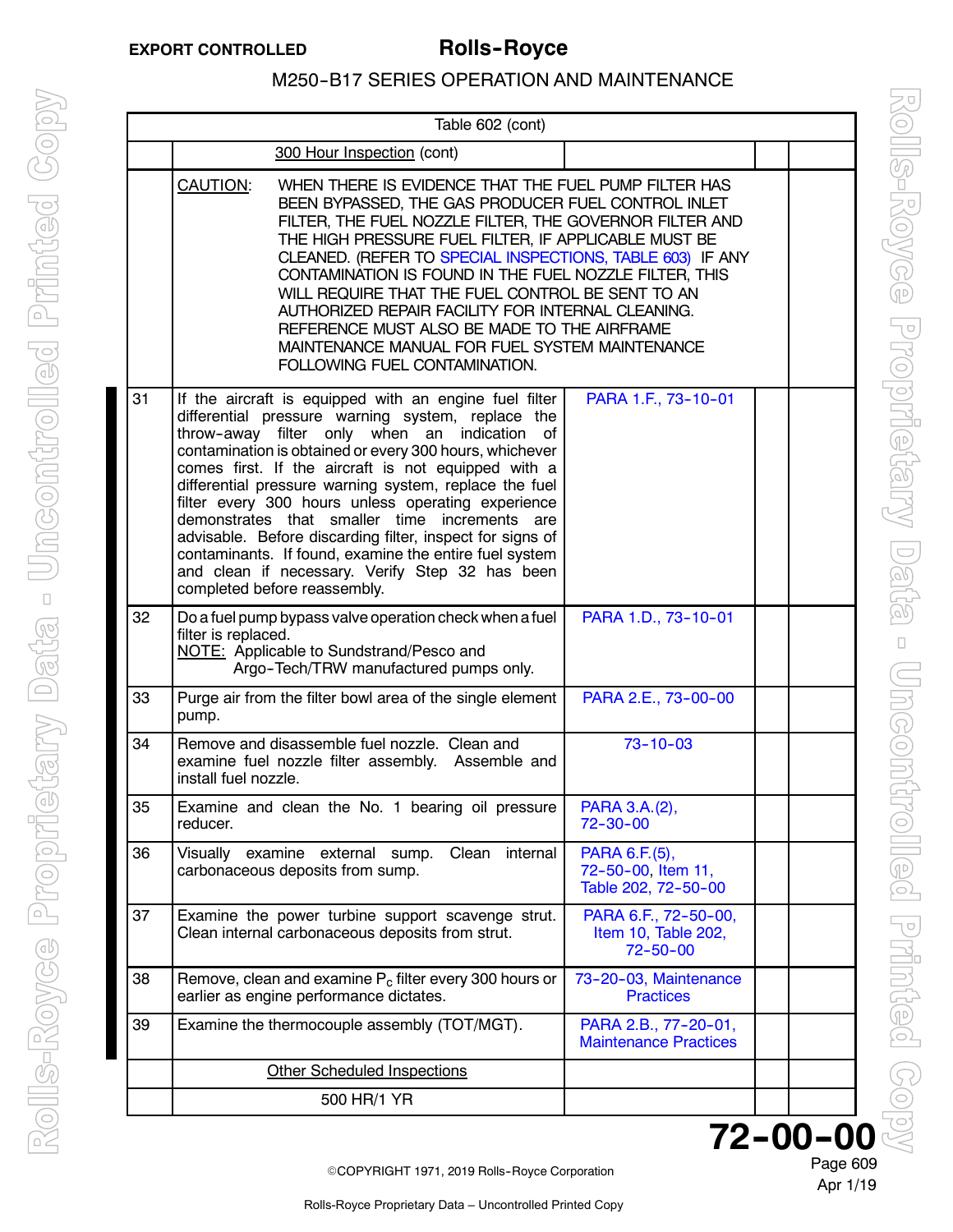<span id="page-5-0"></span>

|    | Table 602 (cont)                                                                                                                                                                                                                                                                                                                                                                                                                                                                                                                                                                                                                                         |                                                               |  |  |
|----|----------------------------------------------------------------------------------------------------------------------------------------------------------------------------------------------------------------------------------------------------------------------------------------------------------------------------------------------------------------------------------------------------------------------------------------------------------------------------------------------------------------------------------------------------------------------------------------------------------------------------------------------------------|---------------------------------------------------------------|--|--|
|    | 300 Hour Inspection (cont)                                                                                                                                                                                                                                                                                                                                                                                                                                                                                                                                                                                                                               |                                                               |  |  |
|    | <b>CAUTION:</b><br>WHEN THERE IS EVIDENCE THAT THE FUEL PUMP FILTER HAS<br>BEEN BYPASSED, THE GAS PRODUCER FUEL CONTROL INLET<br>FILTER, THE FUEL NOZZLE FILTER, THE GOVERNOR FILTER AND<br>THE HIGH PRESSURE FUEL FILTER, IF APPLICABLE MUST BE<br>CLEANED. (REFER TO SPECIAL INSPECTIONS, TABLE 603) IF ANY<br>CONTAMINATION IS FOUND IN THE FUEL NOZZLE FILTER, THIS<br>WILL REQUIRE THAT THE FUEL CONTROL BE SENT TO AN<br>AUTHORIZED REPAIR FACILITY FOR INTERNAL CLEANING.<br>REFERENCE MUST ALSO BE MADE TO THE AIRFRAME<br>MAINTENANCE MANUAL FOR FUEL SYSTEM MAINTENANCE<br>FOLLOWING FUEL CONTAMINATION.                                       |                                                               |  |  |
| 31 | If the aircraft is equipped with an engine fuel filter<br>differential pressure warning system, replace the<br>throw-away filter only when an indication of<br>contamination is obtained or every 300 hours, whichever<br>comes first. If the aircraft is not equipped with a<br>differential pressure warning system, replace the fuel<br>filter every 300 hours unless operating experience<br>demonstrates that smaller time increments are<br>advisable. Before discarding filter, inspect for signs of<br>contaminants. If found, examine the entire fuel system<br>and clean if necessary. Verify Step 32 has been<br>completed before reassembly. | PARA 1.F., 73-10-01                                           |  |  |
| 32 | Do a fuel pump bypass valve operation check when a fuel<br>filter is replaced.<br>NOTE: Applicable to Sundstrand/Pesco and<br>Argo-Tech/TRW manufactured pumps only.                                                                                                                                                                                                                                                                                                                                                                                                                                                                                     | PARA 1.D., 73-10-01                                           |  |  |
| 33 | Purge air from the filter bowl area of the single element<br>pump.                                                                                                                                                                                                                                                                                                                                                                                                                                                                                                                                                                                       | PARA 2.E., 73-00-00                                           |  |  |
| 34 | Remove and disassemble fuel nozzle. Clean and<br>examine fuel nozzle filter assembly. Assemble and<br>install fuel nozzle.                                                                                                                                                                                                                                                                                                                                                                                                                                                                                                                               | $73 - 10 - 03$                                                |  |  |
| 35 | Examine and clean the No. 1 bearing oil pressure<br>reducer.                                                                                                                                                                                                                                                                                                                                                                                                                                                                                                                                                                                             | PARA 3.A.(2),<br>$72 - 30 - 00$                               |  |  |
| 36 | Visually examine external sump.<br>Clean<br>internal<br>carbonaceous deposits from sump.                                                                                                                                                                                                                                                                                                                                                                                                                                                                                                                                                                 | PARA 6.F.(5),<br>72-50-00, Item 11,<br>Table 202, 72-50-00    |  |  |
| 37 | Examine the power turbine support scavenge strut.<br>Clean internal carbonaceous deposits from strut.                                                                                                                                                                                                                                                                                                                                                                                                                                                                                                                                                    | PARA 6.F., 72-50-00,<br>Item 10, Table 202,<br>$72 - 50 - 00$ |  |  |
| 38 | Remove, clean and examine $P_c$ filter every 300 hours or<br>earlier as engine performance dictates.                                                                                                                                                                                                                                                                                                                                                                                                                                                                                                                                                     | 73-20-03, Maintenance<br><b>Practices</b>                     |  |  |
| 39 | Examine the thermocouple assembly (TOT/MGT).                                                                                                                                                                                                                                                                                                                                                                                                                                                                                                                                                                                                             | PARA 2.B., 77-20-01,<br><b>Maintenance Practices</b>          |  |  |
|    | <b>Other Scheduled Inspections</b>                                                                                                                                                                                                                                                                                                                                                                                                                                                                                                                                                                                                                       |                                                               |  |  |
|    | 500 HR/1 YR                                                                                                                                                                                                                                                                                                                                                                                                                                                                                                                                                                                                                                              |                                                               |  |  |

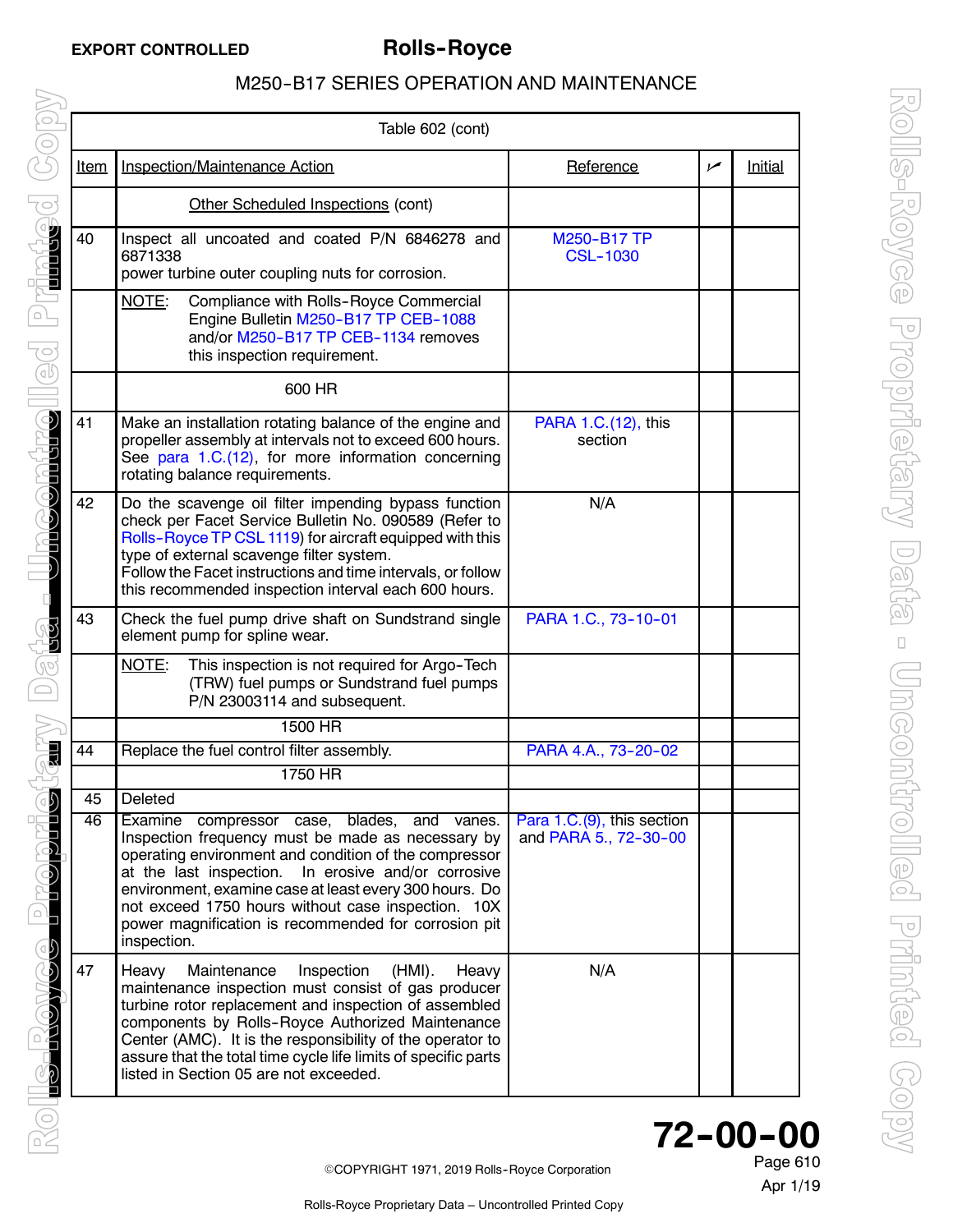<span id="page-6-0"></span>

|      | Table 602 (cont)                                                                                                                                                                                                                                                                                                                                                                                        |                                                     |    |                |
|------|---------------------------------------------------------------------------------------------------------------------------------------------------------------------------------------------------------------------------------------------------------------------------------------------------------------------------------------------------------------------------------------------------------|-----------------------------------------------------|----|----------------|
| Item | Inspection/Maintenance Action                                                                                                                                                                                                                                                                                                                                                                           | Reference                                           | مم | <b>Initial</b> |
|      | Other Scheduled Inspections (cont)                                                                                                                                                                                                                                                                                                                                                                      |                                                     |    |                |
| 40   | Inspect all uncoated and coated P/N 6846278 and<br>6871338<br>power turbine outer coupling nuts for corrosion.                                                                                                                                                                                                                                                                                          | M250-B17 TP<br><b>CSL-1030</b>                      |    |                |
|      | NOTE:<br>Compliance with Rolls-Royce Commercial<br>Engine Bulletin M250-B17 TP CEB-1088<br>and/or M250-B17 TP CEB-1134 removes<br>this inspection requirement.                                                                                                                                                                                                                                          |                                                     |    |                |
|      | 600 HR                                                                                                                                                                                                                                                                                                                                                                                                  |                                                     |    |                |
| 41   | Make an installation rotating balance of the engine and<br>propeller assembly at intervals not to exceed 600 hours.<br>See para 1.C.(12), for more information concerning<br>rotating balance requirements.                                                                                                                                                                                             | PARA 1.C.(12), this<br>section                      |    |                |
| 42   | Do the scavenge oil filter impending bypass function<br>check per Facet Service Bulletin No. 090589 (Refer to<br>Rolls-Royce TP CSL 1119) for aircraft equipped with this<br>type of external scavenge filter system.<br>Follow the Facet instructions and time intervals, or follow<br>this recommended inspection interval each 600 hours.                                                            | N/A                                                 |    |                |
| 43   | Check the fuel pump drive shaft on Sundstrand single<br>element pump for spline wear.                                                                                                                                                                                                                                                                                                                   | PARA 1.C., 73-10-01                                 |    |                |
|      | This inspection is not required for Argo-Tech<br><u>NOTE:</u><br>(TRW) fuel pumps or Sundstrand fuel pumps<br>P/N 23003114 and subsequent.                                                                                                                                                                                                                                                              |                                                     |    |                |
|      | 1500 HR                                                                                                                                                                                                                                                                                                                                                                                                 |                                                     |    |                |
| 44   | Replace the fuel control filter assembly.                                                                                                                                                                                                                                                                                                                                                               | PARA 4.A., 73-20-02                                 |    |                |
|      | 1750 HR                                                                                                                                                                                                                                                                                                                                                                                                 |                                                     |    |                |
| 45   | Deleted                                                                                                                                                                                                                                                                                                                                                                                                 |                                                     |    |                |
| 46   | Examine compressor case, blades, and vanes.<br>Inspection frequency must be made as necessary by<br>operating environment and condition of the compressor<br>at the last inspection. In erosive and/or corrosive<br>environment, examine case at least every 300 hours. Do<br>not exceed 1750 hours without case inspection. 10X<br>power magnification is recommended for corrosion pit<br>inspection. | Para 1.C.(9), this section<br>and PARA 5., 72-30-00 |    |                |
| 47   | Heavy<br>Maintenance<br>Inspection<br>$(HMI)$ .<br>Heavy<br>maintenance inspection must consist of gas producer<br>turbine rotor replacement and inspection of assembled<br>components by Rolls-Royce Authorized Maintenance<br>Center (AMC). It is the responsibility of the operator to<br>assure that the total time cycle life limits of specific parts<br>listed in Section 05 are not exceeded.   | N/A                                                 |    |                |

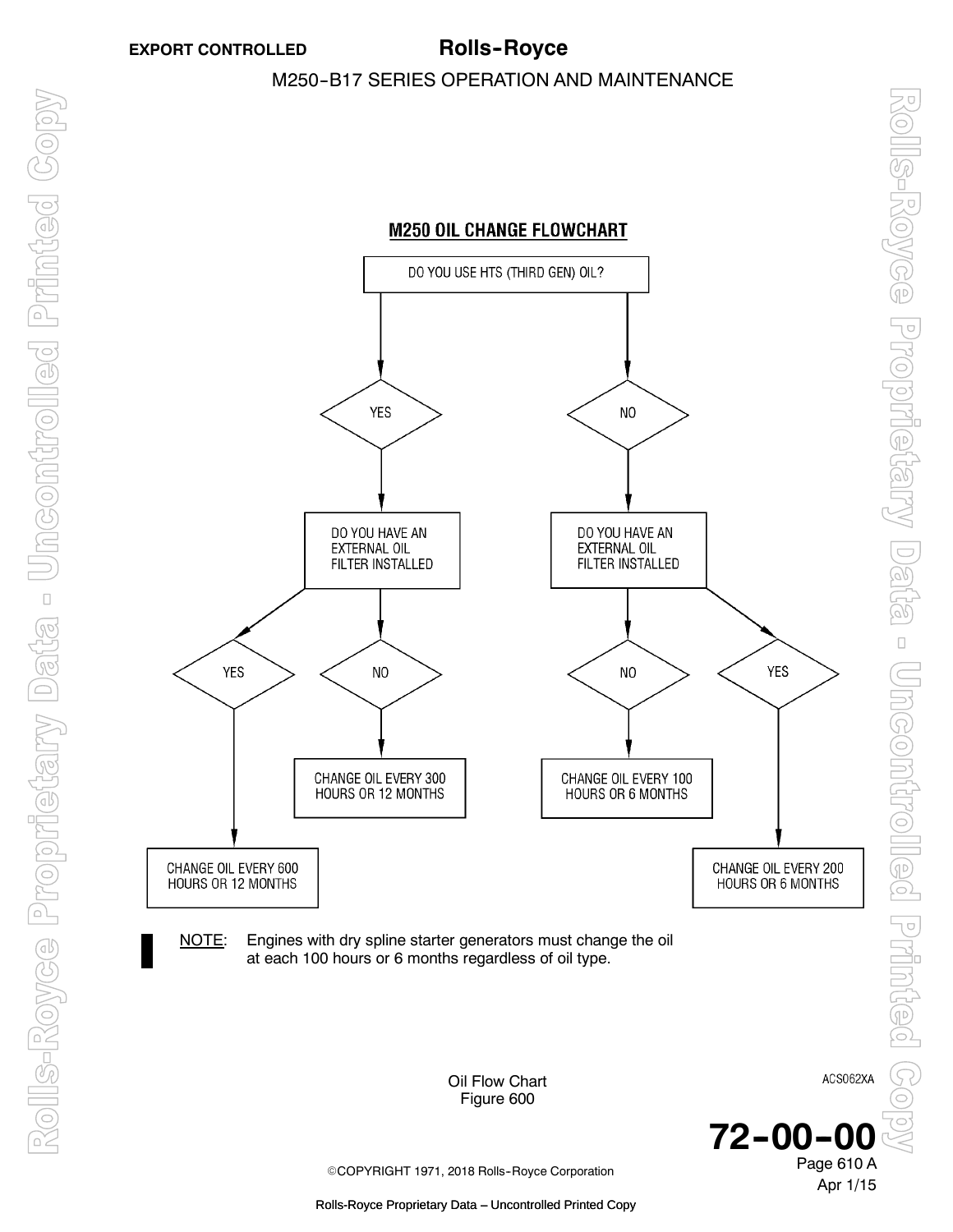<span id="page-7-0"></span>

### **M250 OIL CHANGE FLOWCHART**

NOTE: Engines with dry spline starter generators must change the oil at each 100 hours or 6 months regardless of oil type.

> Oil Flow Chart Figure 600

ACS062XA

Page 610 A **72--00--00** Apr 1/15

©COPYRIGHT 1971, 2018 Rolls-Royce Corporation

Rolls-Royce Proprietary Data – Uncontrolled Printed Copy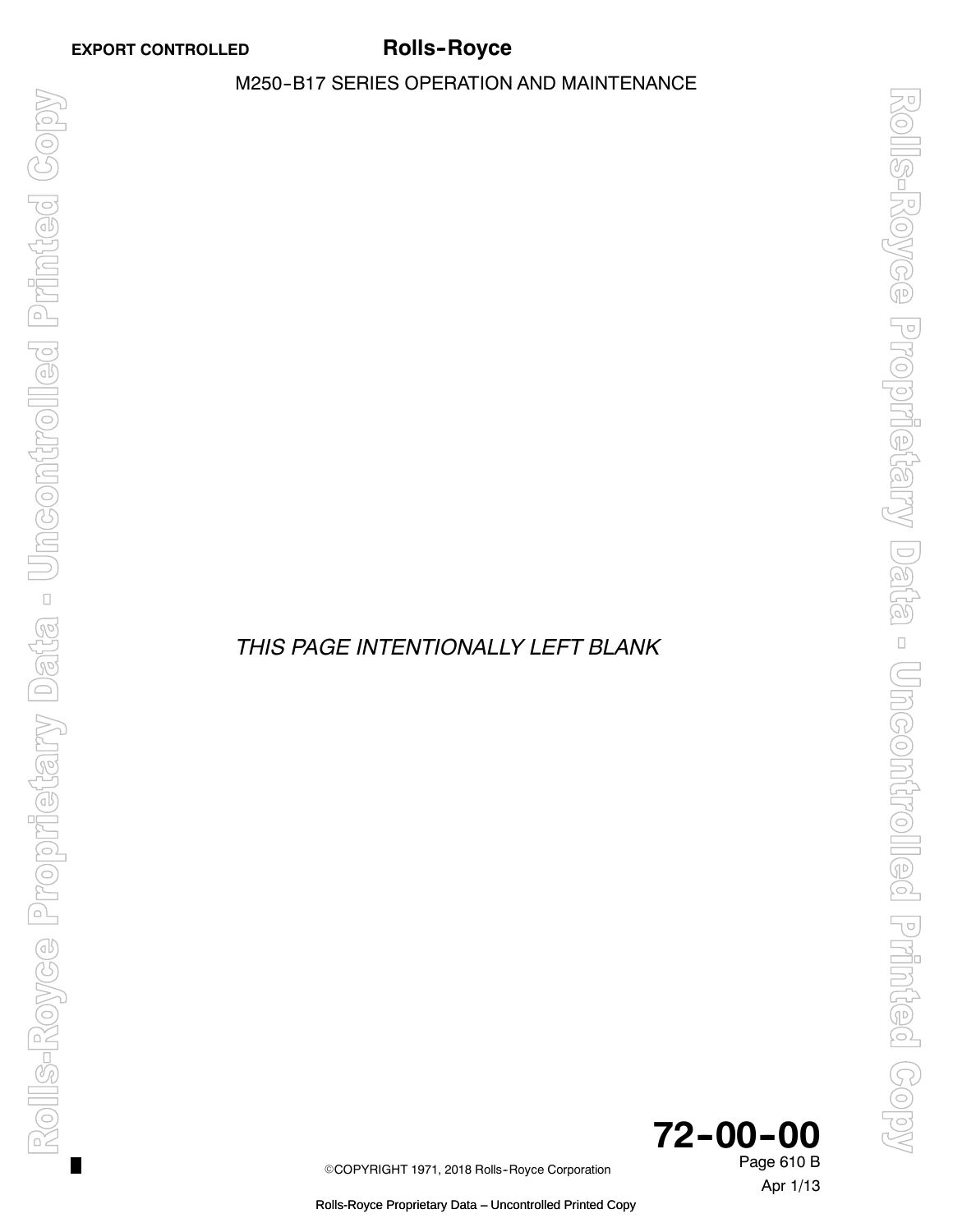$\blacksquare$ 

*THIS PAGE INTENTIONALLY LEFT BLANK*

M250-B17 SERIES OPERATION AND MAINTENANCE

**72--00--00** Page 610 B

Apr 1/13

ECOPYRIGHT 1971, 2018 Rolls--Royce Corporation

Rolls-Royce Proprietary Data – Uncontrolled Printed Copy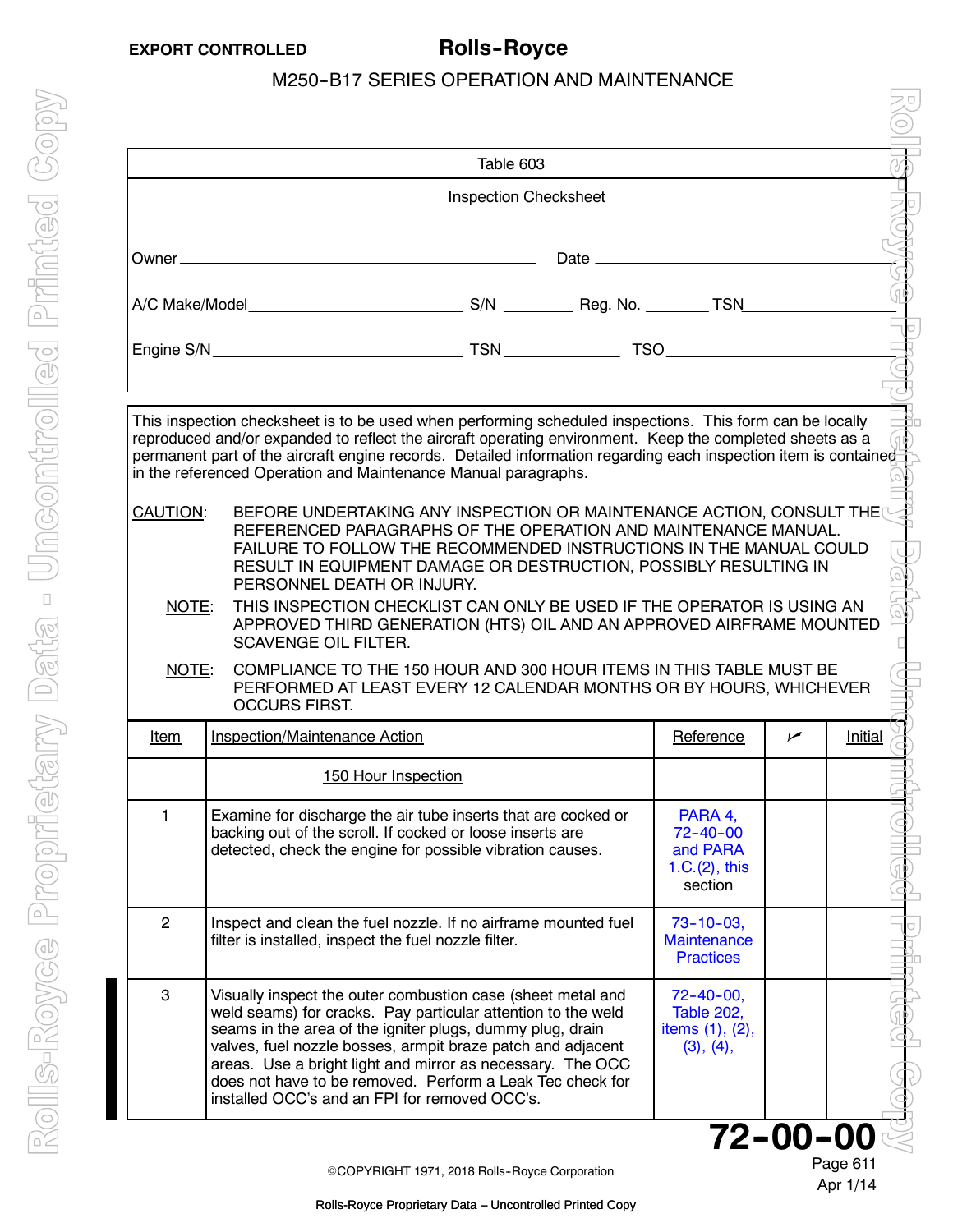<span id="page-9-0"></span>

|                                                                                                                                                                                                                                                                                                                                                                                                                                                                                                                                                                                                                                                                                                                                                                                                                                                                                                                                                                                                                   | Table 603                                                                                                                                                                                                                                                                                                                                                                                                                           |                                                                       |                |         |
|-------------------------------------------------------------------------------------------------------------------------------------------------------------------------------------------------------------------------------------------------------------------------------------------------------------------------------------------------------------------------------------------------------------------------------------------------------------------------------------------------------------------------------------------------------------------------------------------------------------------------------------------------------------------------------------------------------------------------------------------------------------------------------------------------------------------------------------------------------------------------------------------------------------------------------------------------------------------------------------------------------------------|-------------------------------------------------------------------------------------------------------------------------------------------------------------------------------------------------------------------------------------------------------------------------------------------------------------------------------------------------------------------------------------------------------------------------------------|-----------------------------------------------------------------------|----------------|---------|
|                                                                                                                                                                                                                                                                                                                                                                                                                                                                                                                                                                                                                                                                                                                                                                                                                                                                                                                                                                                                                   | <b>Inspection Checksheet</b>                                                                                                                                                                                                                                                                                                                                                                                                        |                                                                       |                |         |
| Owner ________                                                                                                                                                                                                                                                                                                                                                                                                                                                                                                                                                                                                                                                                                                                                                                                                                                                                                                                                                                                                    | Date ____________                                                                                                                                                                                                                                                                                                                                                                                                                   |                                                                       |                |         |
|                                                                                                                                                                                                                                                                                                                                                                                                                                                                                                                                                                                                                                                                                                                                                                                                                                                                                                                                                                                                                   |                                                                                                                                                                                                                                                                                                                                                                                                                                     |                                                                       |                |         |
|                                                                                                                                                                                                                                                                                                                                                                                                                                                                                                                                                                                                                                                                                                                                                                                                                                                                                                                                                                                                                   |                                                                                                                                                                                                                                                                                                                                                                                                                                     |                                                                       |                |         |
| This inspection checksheet is to be used when performing scheduled inspections. This form can be locally<br>reproduced and/or expanded to reflect the aircraft operating environment. Keep the completed sheets as a<br>permanent part of the aircraft engine records. Detailed information regarding each inspection item is contained<br>in the referenced Operation and Maintenance Manual paragraphs.<br>CAUTION:<br>BEFORE UNDERTAKING ANY INSPECTION OR MAINTENANCE ACTION, CONSULT THE<br>REFERENCED PARAGRAPHS OF THE OPERATION AND MAINTENANCE MANUAL.<br>FAILURE TO FOLLOW THE RECOMMENDED INSTRUCTIONS IN THE MANUAL COULD<br>RESULT IN EQUIPMENT DAMAGE OR DESTRUCTION, POSSIBLY RESULTING IN<br>PERSONNEL DEATH OR INJURY.<br>THIS INSPECTION CHECKLIST CAN ONLY BE USED IF THE OPERATOR IS USING AN<br>NOTE:<br>APPROVED THIRD GENERATION (HTS) OIL AND AN APPROVED AIRFRAME MOUNTED<br><b>SCAVENGE OIL FILTER.</b><br>NOTE:<br>COMPLIANCE TO THE 150 HOUR AND 300 HOUR ITEMS IN THIS TABLE MUST BE |                                                                                                                                                                                                                                                                                                                                                                                                                                     |                                                                       |                |         |
| <u>Item</u>                                                                                                                                                                                                                                                                                                                                                                                                                                                                                                                                                                                                                                                                                                                                                                                                                                                                                                                                                                                                       | <b>OCCURS FIRST.</b><br>Inspection/Maintenance Action                                                                                                                                                                                                                                                                                                                                                                               | Reference                                                             | $\overline{v}$ | Initial |
|                                                                                                                                                                                                                                                                                                                                                                                                                                                                                                                                                                                                                                                                                                                                                                                                                                                                                                                                                                                                                   | 150 Hour Inspection                                                                                                                                                                                                                                                                                                                                                                                                                 |                                                                       |                |         |
| 1                                                                                                                                                                                                                                                                                                                                                                                                                                                                                                                                                                                                                                                                                                                                                                                                                                                                                                                                                                                                                 | Examine for discharge the air tube inserts that are cocked or<br>backing out of the scroll. If cocked or loose inserts are<br>detected, check the engine for possible vibration causes.                                                                                                                                                                                                                                             | PARA 4,<br>$72 - 40 - 00$<br>and PARA<br>$1.C.(2)$ , this<br>section  |                |         |
| $\overline{2}$                                                                                                                                                                                                                                                                                                                                                                                                                                                                                                                                                                                                                                                                                                                                                                                                                                                                                                                                                                                                    | Inspect and clean the fuel nozzle. If no airframe mounted fuel<br>filter is installed, inspect the fuel nozzle filter.                                                                                                                                                                                                                                                                                                              | $73 - 10 - 03$ ,<br>Maintenance<br><b>Practices</b>                   |                |         |
| 3                                                                                                                                                                                                                                                                                                                                                                                                                                                                                                                                                                                                                                                                                                                                                                                                                                                                                                                                                                                                                 | Visually inspect the outer combustion case (sheet metal and<br>weld seams) for cracks. Pay particular attention to the weld<br>seams in the area of the igniter plugs, dummy plug, drain<br>valves, fuel nozzle bosses, armpit braze patch and adjacent<br>areas. Use a bright light and mirror as necessary. The OCC<br>does not have to be removed. Perform a Leak Tec check for<br>installed OCC's and an FPI for removed OCC's. | $72 - 40 - 00$ ,<br><b>Table 202,</b><br>items (1), (2),<br>(3), (4), |                |         |
|                                                                                                                                                                                                                                                                                                                                                                                                                                                                                                                                                                                                                                                                                                                                                                                                                                                                                                                                                                                                                   |                                                                                                                                                                                                                                                                                                                                                                                                                                     |                                                                       | 72-00-00       |         |

©COPYRIGHT 1971, 2018 Rolls-Royce Corporation

Page 611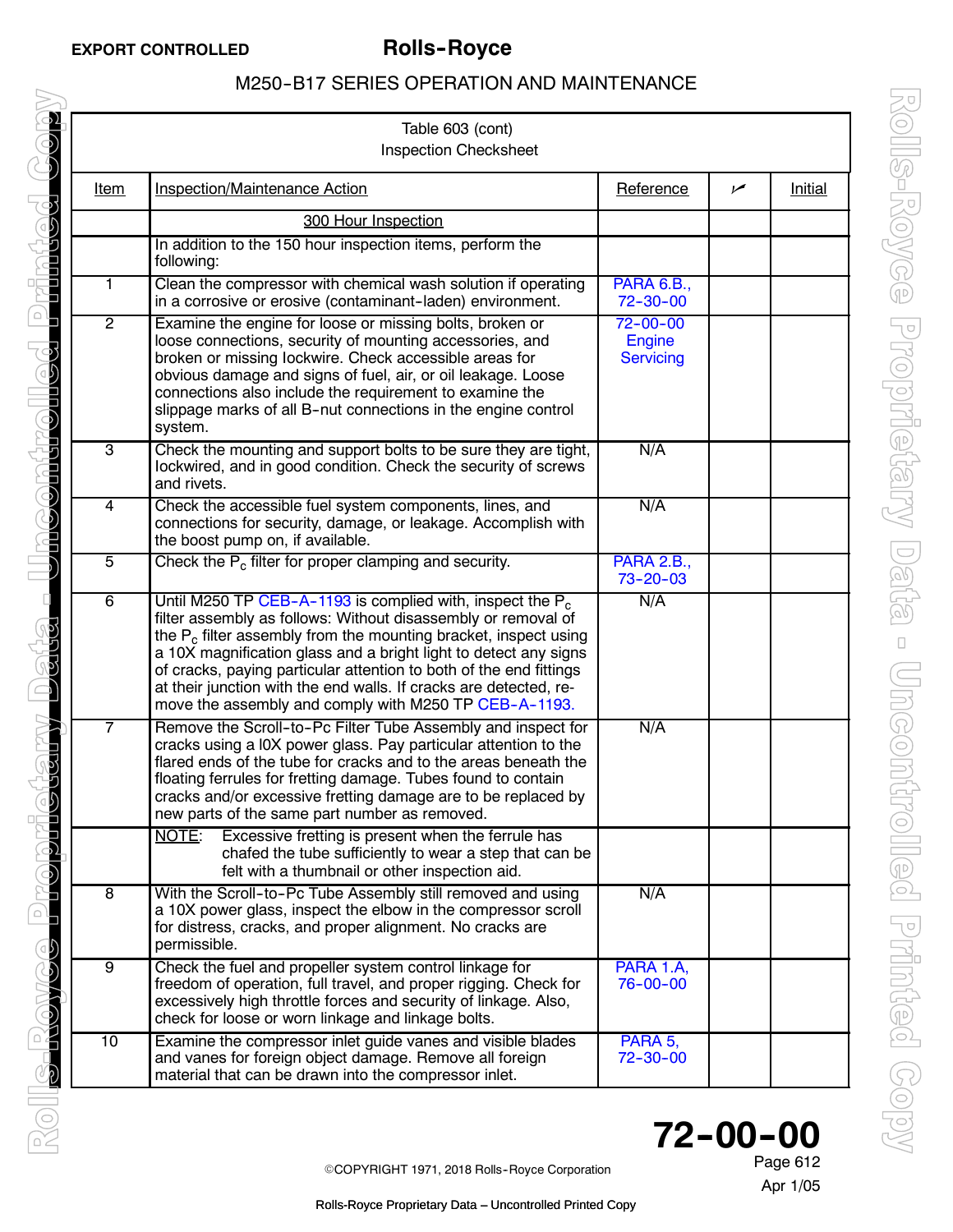<span id="page-10-0"></span>

|                | Table 603 (cont)<br><b>Inspection Checksheet</b>                                                                                                                                                                                                                                                                                                                                                                                                                            |                                                     |    |                |
|----------------|-----------------------------------------------------------------------------------------------------------------------------------------------------------------------------------------------------------------------------------------------------------------------------------------------------------------------------------------------------------------------------------------------------------------------------------------------------------------------------|-----------------------------------------------------|----|----------------|
| <b>Item</b>    | <b>Inspection/Maintenance Action</b>                                                                                                                                                                                                                                                                                                                                                                                                                                        | Reference                                           | مم | <b>Initial</b> |
|                | 300 Hour Inspection                                                                                                                                                                                                                                                                                                                                                                                                                                                         |                                                     |    |                |
|                | In addition to the 150 hour inspection items, perform the<br>following:                                                                                                                                                                                                                                                                                                                                                                                                     |                                                     |    |                |
| 1              | Clean the compressor with chemical wash solution if operating<br>in a corrosive or erosive (contaminant-laden) environment.                                                                                                                                                                                                                                                                                                                                                 | <b>PARA 6.B.,</b><br>$72 - 30 - 00$                 |    |                |
| $\overline{2}$ | Examine the engine for loose or missing bolts, broken or<br>loose connections, security of mounting accessories, and<br>broken or missing lockwire. Check accessible areas for<br>obvious damage and signs of fuel, air, or oil leakage. Loose<br>connections also include the requirement to examine the<br>slippage marks of all B-nut connections in the engine control<br>system.                                                                                       | $72 - 00 - 00$<br><b>Engine</b><br><b>Servicing</b> |    |                |
| $\overline{3}$ | Check the mounting and support bolts to be sure they are tight,<br>lockwired, and in good condition. Check the security of screws<br>and rivets.                                                                                                                                                                                                                                                                                                                            | N/A                                                 |    |                |
| 4              | Check the accessible fuel system components, lines, and<br>connections for security, damage, or leakage. Accomplish with<br>the boost pump on, if available.                                                                                                                                                                                                                                                                                                                | N/A                                                 |    |                |
| $\overline{5}$ | Check the $P_c$ filter for proper clamping and security.                                                                                                                                                                                                                                                                                                                                                                                                                    | <b>PARA 2.B.,</b><br>$73 - 20 - 03$                 |    |                |
| 6              | Until M250 TP CEB-A-1193 is complied with, inspect the $P_c$<br>filter assembly as follows: Without disassembly or removal of<br>the $P_c$ filter assembly from the mounting bracket, inspect using<br>a 10X magnification glass and a bright light to detect any signs<br>of cracks, paying particular attention to both of the end fittings<br>at their junction with the end walls. If cracks are detected, re-<br>move the assembly and comply with M250 TP CEB-A-1193. | N/A                                                 |    |                |
| 7              | Remove the Scroll-to-Pc Filter Tube Assembly and inspect for<br>cracks using a IOX power glass. Pay particular attention to the<br>flared ends of the tube for cracks and to the areas beneath the<br>floating ferrules for fretting damage. Tubes found to contain<br>cracks and/or excessive fretting damage are to be replaced by<br>new parts of the same part number as removed.                                                                                       | N/A                                                 |    |                |
|                | Excessive fretting is present when the ferrule has<br>NOTE:<br>chafed the tube sufficiently to wear a step that can be<br>felt with a thumbnail or other inspection aid.                                                                                                                                                                                                                                                                                                    |                                                     |    |                |
| $\overline{8}$ | With the Scroll-to-Pc Tube Assembly still removed and using<br>a 10X power glass, inspect the elbow in the compressor scroll<br>for distress, cracks, and proper alignment. No cracks are<br>permissible.                                                                                                                                                                                                                                                                   | N/A                                                 |    |                |
| $\overline{9}$ | Check the fuel and propeller system control linkage for<br>freedom of operation, full travel, and proper rigging. Check for<br>excessively high throttle forces and security of linkage. Also,<br>check for loose or worn linkage and linkage bolts.                                                                                                                                                                                                                        | PARA 1.A,<br>$76 - 00 - 00$                         |    |                |
| 10             | Examine the compressor inlet guide vanes and visible blades<br>and vanes for foreign object damage. Remove all foreign<br>material that can be drawn into the compressor inlet.                                                                                                                                                                                                                                                                                             | PARA 5,<br>$72 - 30 - 00$                           |    |                |

**72--00--00** Page 612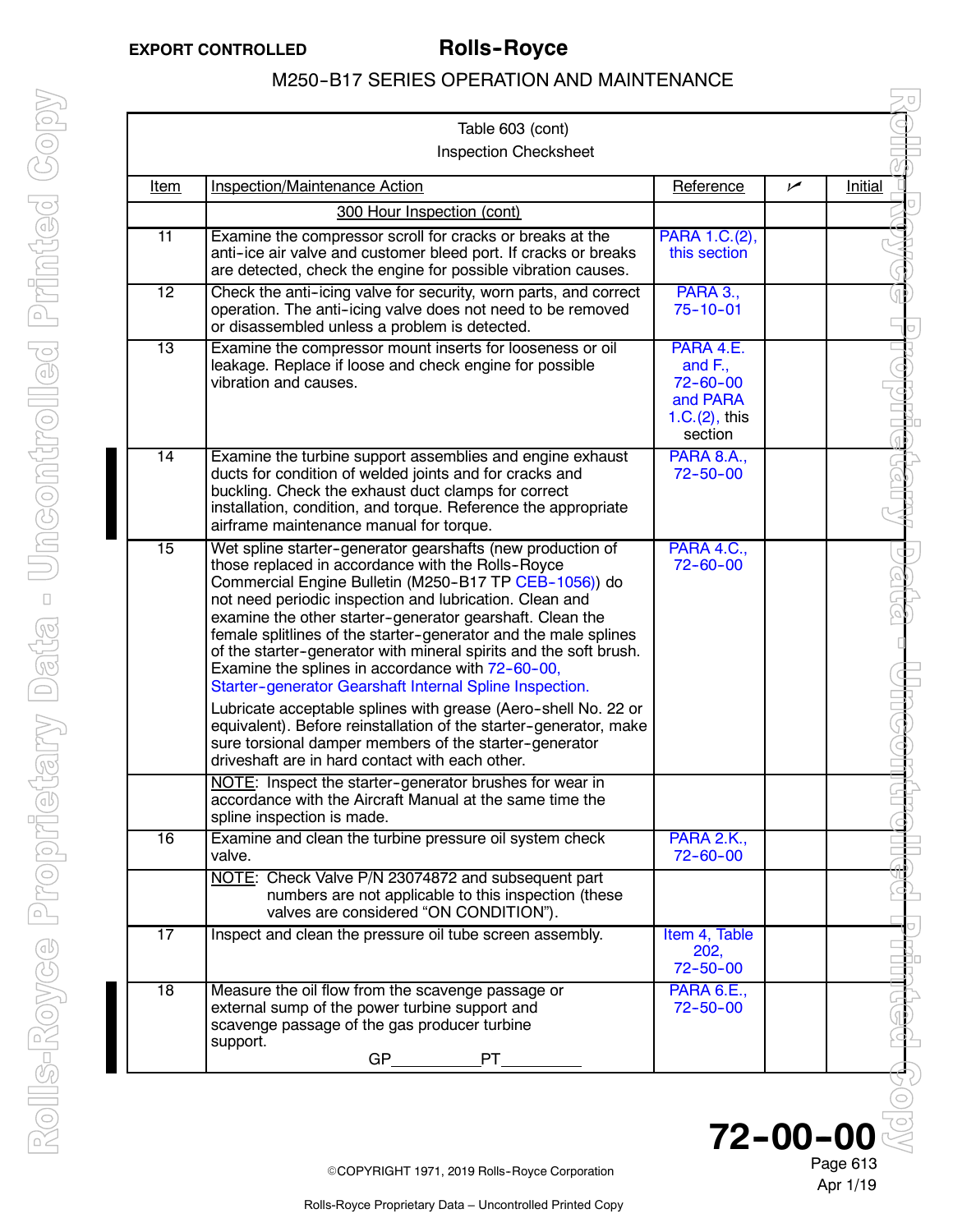|                 | Table 603 (cont)<br><b>Inspection Checksheet</b>                                                                                                                                                                                                                                                                                                                                                                                                                                                                                                                                                                                                                                                                                                                                                           |                                                                                             |     |         |
|-----------------|------------------------------------------------------------------------------------------------------------------------------------------------------------------------------------------------------------------------------------------------------------------------------------------------------------------------------------------------------------------------------------------------------------------------------------------------------------------------------------------------------------------------------------------------------------------------------------------------------------------------------------------------------------------------------------------------------------------------------------------------------------------------------------------------------------|---------------------------------------------------------------------------------------------|-----|---------|
| <u>Item</u>     | <b>Inspection/Maintenance Action</b>                                                                                                                                                                                                                                                                                                                                                                                                                                                                                                                                                                                                                                                                                                                                                                       | Reference                                                                                   | سما | Initial |
|                 | 300 Hour Inspection (cont)                                                                                                                                                                                                                                                                                                                                                                                                                                                                                                                                                                                                                                                                                                                                                                                 |                                                                                             |     |         |
| $\overline{11}$ | Examine the compressor scroll for cracks or breaks at the<br>anti-ice air valve and customer bleed port. If cracks or breaks<br>are detected, check the engine for possible vibration causes.                                                                                                                                                                                                                                                                                                                                                                                                                                                                                                                                                                                                              | PARA 1.C.(2),<br>this section                                                               |     |         |
| $\overline{12}$ | Check the anti-icing valve for security, worn parts, and correct<br>operation. The anti-icing valve does not need to be removed<br>or disassembled unless a problem is detected.                                                                                                                                                                                                                                                                                                                                                                                                                                                                                                                                                                                                                           | <b>PARA 3.,</b><br>$75 - 10 - 01$                                                           |     |         |
| 13              | Examine the compressor mount inserts for looseness or oil<br>leakage. Replace if loose and check engine for possible<br>vibration and causes.                                                                                                                                                                                                                                                                                                                                                                                                                                                                                                                                                                                                                                                              | PARA 4.E.<br>and $F_{\cdot}$ ,<br>$72 - 60 - 00$<br>and PARA<br>$1.C.(2)$ , this<br>section |     |         |
| 14              | Examine the turbine support assemblies and engine exhaust<br>ducts for condition of welded joints and for cracks and<br>buckling. Check the exhaust duct clamps for correct<br>installation, condition, and torque. Reference the appropriate<br>airframe maintenance manual for torque.                                                                                                                                                                                                                                                                                                                                                                                                                                                                                                                   | <b>PARA 8.A.,</b><br>$72 - 50 - 00$                                                         |     |         |
| $\overline{15}$ | Wet spline starter-generator gearshafts (new production of<br>those replaced in accordance with the Rolls-Royce<br>Commercial Engine Bulletin (M250-B17 TP CEB-1056)) do<br>not need periodic inspection and lubrication. Clean and<br>examine the other starter-generator gearshaft. Clean the<br>female splitlines of the starter-generator and the male splines<br>of the starter-generator with mineral spirits and the soft brush.<br>Examine the splines in accordance with 72-60-00,<br>Starter-generator Gearshaft Internal Spline Inspection.<br>Lubricate acceptable splines with grease (Aero-shell No. 22 or<br>equivalent). Before reinstallation of the starter-generator, make<br>sure torsional damper members of the starter-generator<br>driveshaft are in hard contact with each other. | <b>PARA 4.C.,</b><br>$72 - 60 - 00$                                                         |     |         |
|                 | NOTE: Inspect the starter-generator brushes for wear in<br>accordance with the Aircraft Manual at the same time the<br>spline inspection is made.                                                                                                                                                                                                                                                                                                                                                                                                                                                                                                                                                                                                                                                          |                                                                                             |     |         |
| 16              | Examine and clean the turbine pressure oil system check<br>valve.                                                                                                                                                                                                                                                                                                                                                                                                                                                                                                                                                                                                                                                                                                                                          | <b>PARA 2.K.,</b><br>$72 - 60 - 00$                                                         |     |         |
|                 | NOTE: Check Valve P/N 23074872 and subsequent part<br>numbers are not applicable to this inspection (these<br>valves are considered "ON CONDITION").                                                                                                                                                                                                                                                                                                                                                                                                                                                                                                                                                                                                                                                       |                                                                                             |     |         |
| 17              | Inspect and clean the pressure oil tube screen assembly.                                                                                                                                                                                                                                                                                                                                                                                                                                                                                                                                                                                                                                                                                                                                                   | Item 4, Table<br>202,<br>$72 - 50 - 00$                                                     |     |         |
| $\overline{18}$ | Measure the oil flow from the scavenge passage or<br>external sump of the power turbine support and<br>scavenge passage of the gas producer turbine<br>support.<br>PT                                                                                                                                                                                                                                                                                                                                                                                                                                                                                                                                                                                                                                      | <b>PARA 6.E.,</b><br>$72 - 50 - 00$                                                         |     |         |

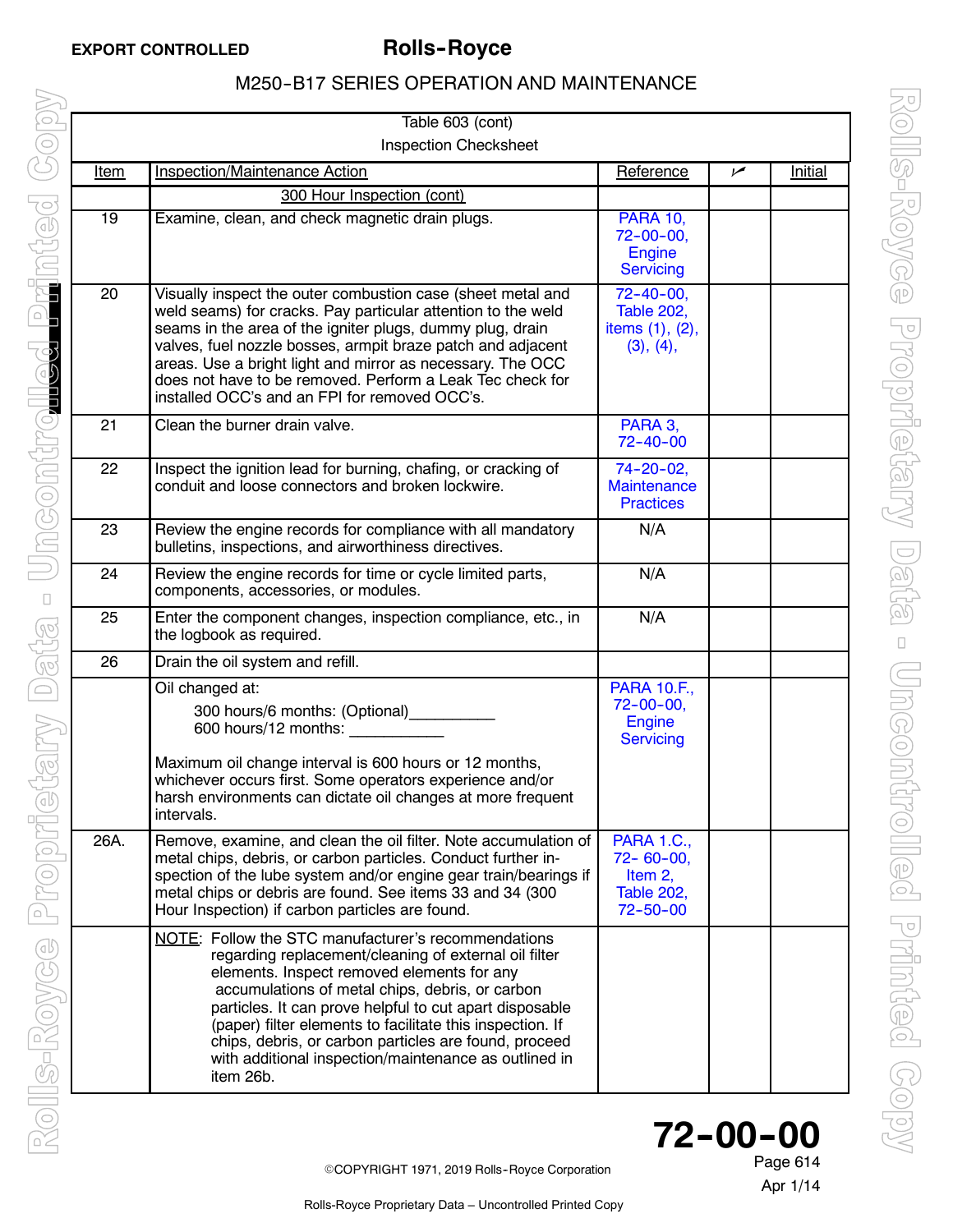|             | Table 603 (cont)                                                                                                                                                                                                                                                                                                                                                                                                                                                     |                                                                                         |     |                |
|-------------|----------------------------------------------------------------------------------------------------------------------------------------------------------------------------------------------------------------------------------------------------------------------------------------------------------------------------------------------------------------------------------------------------------------------------------------------------------------------|-----------------------------------------------------------------------------------------|-----|----------------|
|             | <b>Inspection Checksheet</b>                                                                                                                                                                                                                                                                                                                                                                                                                                         |                                                                                         |     |                |
| <b>Item</b> | <b>Inspection/Maintenance Action</b>                                                                                                                                                                                                                                                                                                                                                                                                                                 | Reference                                                                               | سما | <b>Initial</b> |
|             | 300 Hour Inspection (cont)                                                                                                                                                                                                                                                                                                                                                                                                                                           |                                                                                         |     |                |
| 19          | Examine, clean, and check magnetic drain plugs.                                                                                                                                                                                                                                                                                                                                                                                                                      | <b>PARA 10,</b><br>$72 - 00 - 00$ ,<br><b>Engine</b><br>Servicing                       |     |                |
| 20          | Visually inspect the outer combustion case (sheet metal and<br>weld seams) for cracks. Pay particular attention to the weld<br>seams in the area of the igniter plugs, dummy plug, drain<br>valves, fuel nozzle bosses, armpit braze patch and adjacent<br>areas. Use a bright light and mirror as necessary. The OCC<br>does not have to be removed. Perform a Leak Tec check for<br>installed OCC's and an FPI for removed OCC's.                                  | $72 - 40 - 00$ ,<br><b>Table 202,</b><br>items (1), (2),<br>(3), (4),                   |     |                |
| 21          | Clean the burner drain valve.                                                                                                                                                                                                                                                                                                                                                                                                                                        | PARA 3,<br>$72 - 40 - 00$                                                               |     |                |
| 22          | Inspect the ignition lead for burning, chafing, or cracking of<br>conduit and loose connectors and broken lockwire.                                                                                                                                                                                                                                                                                                                                                  | 74-20-02,<br><b>Maintenance</b><br><b>Practices</b>                                     |     |                |
| 23          | Review the engine records for compliance with all mandatory<br>bulletins, inspections, and airworthiness directives.                                                                                                                                                                                                                                                                                                                                                 | N/A                                                                                     |     |                |
| 24          | Review the engine records for time or cycle limited parts,<br>components, accessories, or modules.                                                                                                                                                                                                                                                                                                                                                                   | N/A                                                                                     |     |                |
| 25          | Enter the component changes, inspection compliance, etc., in<br>the logbook as required.                                                                                                                                                                                                                                                                                                                                                                             | N/A                                                                                     |     |                |
| 26          | Drain the oil system and refill.                                                                                                                                                                                                                                                                                                                                                                                                                                     |                                                                                         |     |                |
|             | Oil changed at:<br>300 hours/6 months: (Optional)_________<br>Maximum oil change interval is 600 hours or 12 months,<br>whichever occurs first. Some operators experience and/or<br>harsh environments can dictate oil changes at more frequent<br>intervals.                                                                                                                                                                                                        | <b>PARA 10.F.,</b><br>$72 - 00 - 00$ ,<br><b>Engine</b><br><b>Servicing</b>             |     |                |
| 26A.        | Remove, examine, and clean the oil filter. Note accumulation of<br>metal chips, debris, or carbon particles. Conduct further in-<br>spection of the lube system and/or engine gear train/bearings if<br>metal chips or debris are found. See items 33 and 34 (300<br>Hour Inspection) if carbon particles are found.                                                                                                                                                 | <b>PARA 1.C.,</b><br>$72 - 60 - 00$ ,<br>Item 2,<br><b>Table 202,</b><br>$72 - 50 - 00$ |     |                |
|             | NOTE: Follow the STC manufacturer's recommendations<br>regarding replacement/cleaning of external oil filter<br>elements. Inspect removed elements for any<br>accumulations of metal chips, debris, or carbon<br>particles. It can prove helpful to cut apart disposable<br>(paper) filter elements to facilitate this inspection. If<br>chips, debris, or carbon particles are found, proceed<br>with additional inspection/maintenance as outlined in<br>item 26b. |                                                                                         |     |                |

# **72--00--00** Page 614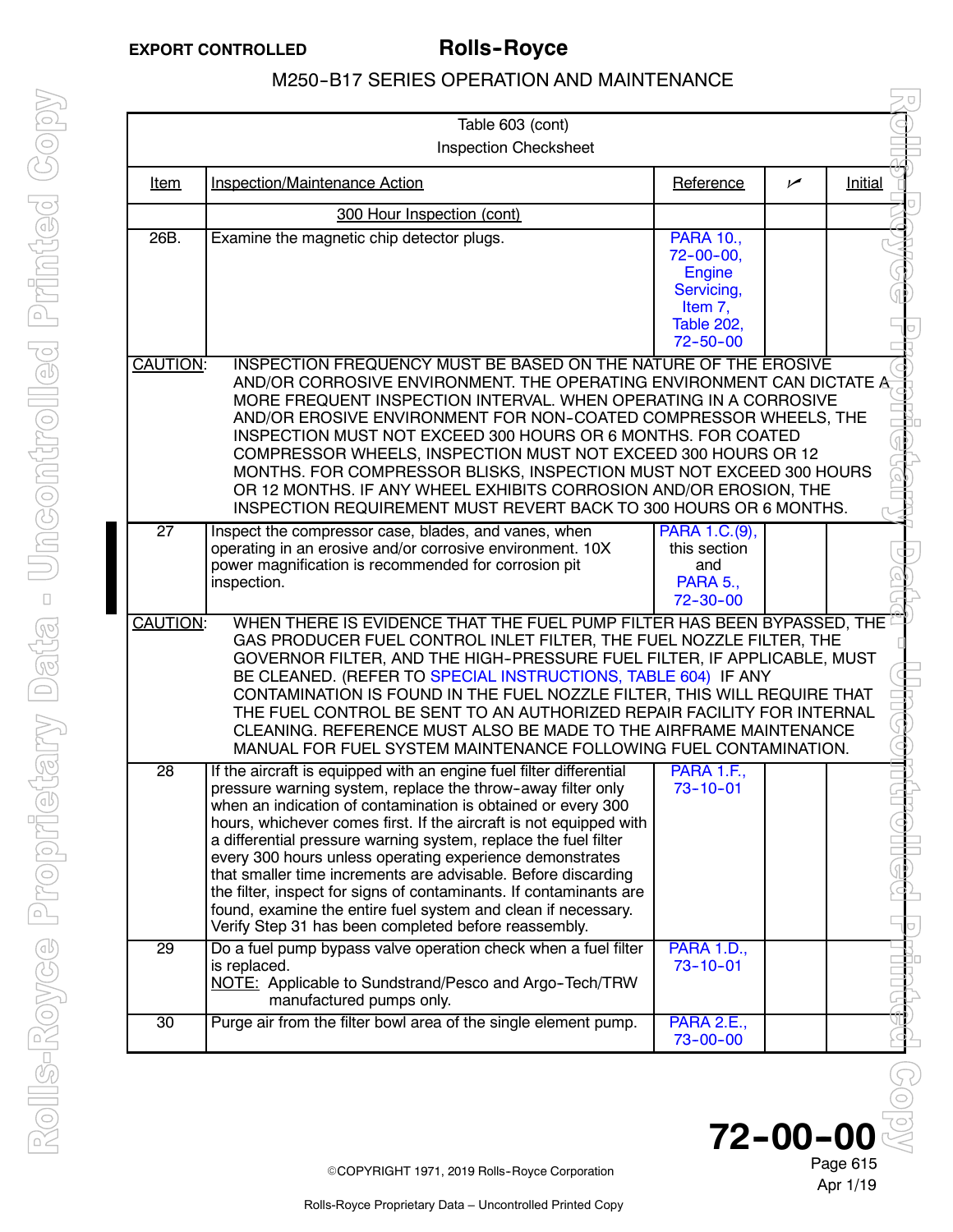|                                                                                                                                                                                                                                                                                                                                                                                                                                                                                                                                                                                                                                                              | Table 603 (cont)<br><b>Inspection Checksheet</b>                                                                                                                                                                                                                                                                                                                                                                                                                                                                                                                                                                                                                        |                                                                                                                       |                |                |
|--------------------------------------------------------------------------------------------------------------------------------------------------------------------------------------------------------------------------------------------------------------------------------------------------------------------------------------------------------------------------------------------------------------------------------------------------------------------------------------------------------------------------------------------------------------------------------------------------------------------------------------------------------------|-------------------------------------------------------------------------------------------------------------------------------------------------------------------------------------------------------------------------------------------------------------------------------------------------------------------------------------------------------------------------------------------------------------------------------------------------------------------------------------------------------------------------------------------------------------------------------------------------------------------------------------------------------------------------|-----------------------------------------------------------------------------------------------------------------------|----------------|----------------|
| Item                                                                                                                                                                                                                                                                                                                                                                                                                                                                                                                                                                                                                                                         | <b>Inspection/Maintenance Action</b>                                                                                                                                                                                                                                                                                                                                                                                                                                                                                                                                                                                                                                    | Reference                                                                                                             | $\overline{v}$ | <b>Initial</b> |
|                                                                                                                                                                                                                                                                                                                                                                                                                                                                                                                                                                                                                                                              | 300 Hour Inspection (cont)                                                                                                                                                                                                                                                                                                                                                                                                                                                                                                                                                                                                                                              |                                                                                                                       |                |                |
| 26B.                                                                                                                                                                                                                                                                                                                                                                                                                                                                                                                                                                                                                                                         | Examine the magnetic chip detector plugs.                                                                                                                                                                                                                                                                                                                                                                                                                                                                                                                                                                                                                               | <b>PARA 10.,</b><br>$72 - 00 - 00$ ,<br><b>Engine</b><br>Servicing,<br>Item 7,<br><b>Table 202,</b><br>$72 - 50 - 00$ |                |                |
| <b>CAUTION:</b><br><b>INSPECTION FREQUENCY MUST BE BASED ON THE NATURE OF THE EROSIVE</b><br>AND/OR CORROSIVE ENVIRONMENT. THE OPERATING ENVIRONMENT CAN DICTATE A<br>MORE FREQUENT INSPECTION INTERVAL. WHEN OPERATING IN A CORROSIVE<br>AND/OR EROSIVE ENVIRONMENT FOR NON-COATED COMPRESSOR WHEELS, THE<br>INSPECTION MUST NOT EXCEED 300 HOURS OR 6 MONTHS. FOR COATED<br>COMPRESSOR WHEELS, INSPECTION MUST NOT EXCEED 300 HOURS OR 12<br>MONTHS. FOR COMPRESSOR BLISKS, INSPECTION MUST NOT EXCEED 300 HOURS<br>OR 12 MONTHS. IF ANY WHEEL EXHIBITS CORROSION AND/OR EROSION, THE<br>INSPECTION REQUIREMENT MUST REVERT BACK TO 300 HOURS OR 6 MONTHS. |                                                                                                                                                                                                                                                                                                                                                                                                                                                                                                                                                                                                                                                                         |                                                                                                                       |                |                |
| 27                                                                                                                                                                                                                                                                                                                                                                                                                                                                                                                                                                                                                                                           | Inspect the compressor case, blades, and vanes, when<br>operating in an erosive and/or corrosive environment. 10X<br>power magnification is recommended for corrosion pit<br>inspection.                                                                                                                                                                                                                                                                                                                                                                                                                                                                                | PARA 1.C.(9),<br>this section<br>and<br><b>PARA 5.,</b><br>$72 - 30 - 00$                                             |                |                |
|                                                                                                                                                                                                                                                                                                                                                                                                                                                                                                                                                                                                                                                              | <b>CAUTION:</b><br>WHEN THERE IS EVIDENCE THAT THE FUEL PUMP FILTER HAS BEEN BYPASSED, THE<br>GAS PRODUCER FUEL CONTROL INLET FILTER, THE FUEL NOZZLE FILTER, THE<br>GOVERNOR FILTER, AND THE HIGH-PRESSURE FUEL FILTER, IF APPLICABLE, MUST<br>BE CLEANED. (REFER TO SPECIAL INSTRUCTIONS, TABLE 604) IF ANY<br>CONTAMINATION IS FOUND IN THE FUEL NOZZLE FILTER, THIS WILL REQUIRE THAT<br>THE FUEL CONTROL BE SENT TO AN AUTHORIZED REPAIR FACILITY FOR INTERNAL<br>CLEANING. REFERENCE MUST ALSO BE MADE TO THE AIRFRAME MAINTENANCE<br>MANUAL FOR FUEL SYSTEM MAINTENANCE FOLLOWING FUEL CONTAMINATION.                                                            |                                                                                                                       |                |                |
| 28                                                                                                                                                                                                                                                                                                                                                                                                                                                                                                                                                                                                                                                           | If the aircraft is equipped with an engine fuel filter differential<br>pressure warning system, replace the throw-away filter only<br>when an indication of contamination is obtained or every 300<br>hours, whichever comes first. If the aircraft is not equipped with<br>a differential pressure warning system, replace the fuel filter<br>every 300 hours unless operating experience demonstrates<br>that smaller time increments are advisable. Before discarding<br>the filter, inspect for signs of contaminants. If contaminants are<br>found, examine the entire fuel system and clean if necessary.<br>Verify Step 31 has been completed before reassembly. | <b>PARA 1.F.,</b><br>$73 - 10 - 01$                                                                                   |                |                |
| 29                                                                                                                                                                                                                                                                                                                                                                                                                                                                                                                                                                                                                                                           | Do a fuel pump bypass valve operation check when a fuel filter<br>is replaced.<br>NOTE: Applicable to Sundstrand/Pesco and Argo-Tech/TRW<br>manufactured pumps only.                                                                                                                                                                                                                                                                                                                                                                                                                                                                                                    | <b>PARA 1.D.,</b><br>$73 - 10 - 01$                                                                                   |                |                |
| 30                                                                                                                                                                                                                                                                                                                                                                                                                                                                                                                                                                                                                                                           | Purge air from the filter bowl area of the single element pump.                                                                                                                                                                                                                                                                                                                                                                                                                                                                                                                                                                                                         | <b>PARA 2.E.,</b><br>$73 - 00 - 00$                                                                                   |                |                |

Page 615 **72--00--00** Apr 1/19

©COPYRIGHT 1971, 2019 Rolls-Royce Corporation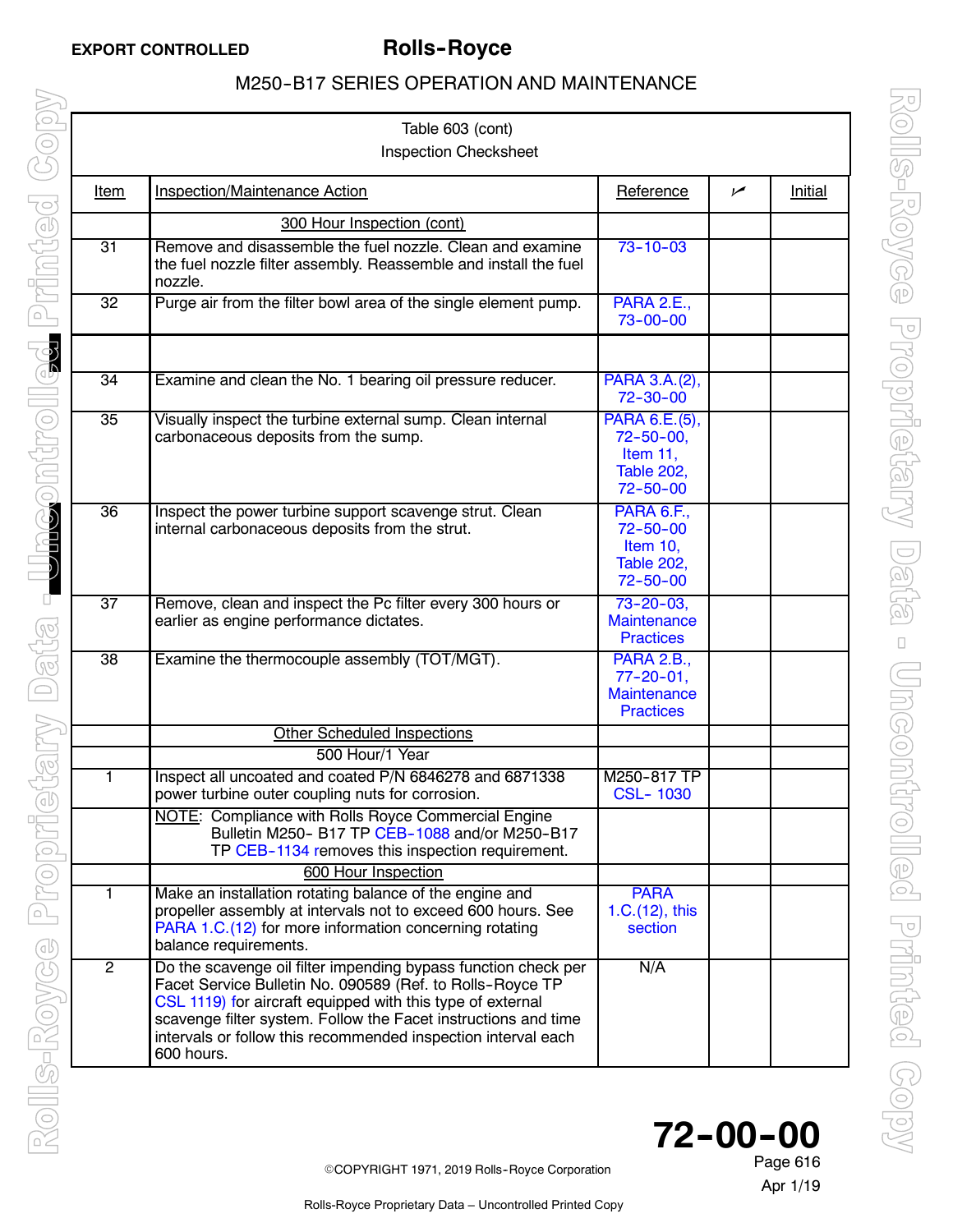| Table 603 (cont)<br><b>Inspection Checksheet</b> |                                                                                                                                                                                                                                                                                                                                            |                                                                                        |                |                |  |
|--------------------------------------------------|--------------------------------------------------------------------------------------------------------------------------------------------------------------------------------------------------------------------------------------------------------------------------------------------------------------------------------------------|----------------------------------------------------------------------------------------|----------------|----------------|--|
| Item                                             | <b>Inspection/Maintenance Action</b>                                                                                                                                                                                                                                                                                                       | Reference                                                                              | $\overline{v}$ | <b>Initial</b> |  |
|                                                  | 300 Hour Inspection (cont)                                                                                                                                                                                                                                                                                                                 |                                                                                        |                |                |  |
| $\overline{31}$                                  | Remove and disassemble the fuel nozzle. Clean and examine<br>the fuel nozzle filter assembly. Reassemble and install the fuel<br>nozzle.                                                                                                                                                                                                   | $73 - 10 - 03$                                                                         |                |                |  |
| 32                                               | Purge air from the filter bowl area of the single element pump.                                                                                                                                                                                                                                                                            | <b>PARA 2.E.,</b><br>$73 - 00 - 00$                                                    |                |                |  |
| 34                                               | Examine and clean the No. 1 bearing oil pressure reducer.                                                                                                                                                                                                                                                                                  | PARA 3.A.(2),<br>$72 - 30 - 00$                                                        |                |                |  |
| 35                                               | Visually inspect the turbine external sump. Clean internal<br>carbonaceous deposits from the sump.                                                                                                                                                                                                                                         | PARA 6.E.(5),<br>$72 - 50 - 00$ ,<br>Item 11,<br><b>Table 202,</b><br>$72 - 50 - 00$   |                |                |  |
| 36                                               | Inspect the power turbine support scavenge strut. Clean<br>internal carbonaceous deposits from the strut.                                                                                                                                                                                                                                  | <b>PARA 6.F.,</b><br>$72 - 50 - 00$<br>Item 10,<br><b>Table 202,</b><br>$72 - 50 - 00$ |                |                |  |
| $\overline{37}$                                  | Remove, clean and inspect the Pc filter every 300 hours or<br>earlier as engine performance dictates.                                                                                                                                                                                                                                      | $73 - 20 - 03$<br><b>Maintenance</b><br><b>Practices</b>                               |                |                |  |
| 38                                               | Examine the thermocouple assembly (TOT/MGT).                                                                                                                                                                                                                                                                                               | <b>PARA 2.B.,</b><br>$77 - 20 - 01$ ,<br><b>Maintenance</b><br><b>Practices</b>        |                |                |  |
|                                                  | <b>Other Scheduled Inspections</b>                                                                                                                                                                                                                                                                                                         |                                                                                        |                |                |  |
|                                                  | 500 Hour/1 Year                                                                                                                                                                                                                                                                                                                            |                                                                                        |                |                |  |
| 1                                                | Inspect all uncoated and coated P/N 6846278 and 6871338<br>power turbine outer coupling nuts for corrosion.                                                                                                                                                                                                                                | M250-817 TP<br><b>CSL-1030</b>                                                         |                |                |  |
|                                                  | <b>NOTE: Compliance with Rolls Royce Commercial Engine</b><br>Bulletin M250- B17 TP CEB-1088 and/or M250-B17<br>TP CEB-1134 removes this inspection requirement.                                                                                                                                                                           |                                                                                        |                |                |  |
|                                                  | 600 Hour Inspection                                                                                                                                                                                                                                                                                                                        |                                                                                        |                |                |  |
| 1                                                | Make an installation rotating balance of the engine and<br>propeller assembly at intervals not to exceed 600 hours. See<br>PARA 1.C.(12) for more information concerning rotating<br>balance requirements.                                                                                                                                 | <b>PARA</b><br>$1.C.(12)$ , this<br>section                                            |                |                |  |
| $\overline{2}$                                   | Do the scavenge oil filter impending bypass function check per<br>Facet Service Bulletin No. 090589 (Ref. to Rolls-Royce TP<br>CSL 1119) for aircraft equipped with this type of external<br>scavenge filter system. Follow the Facet instructions and time<br>intervals or follow this recommended inspection interval each<br>600 hours. | N/A                                                                                    |                |                |  |

**72--00--00** Page 616